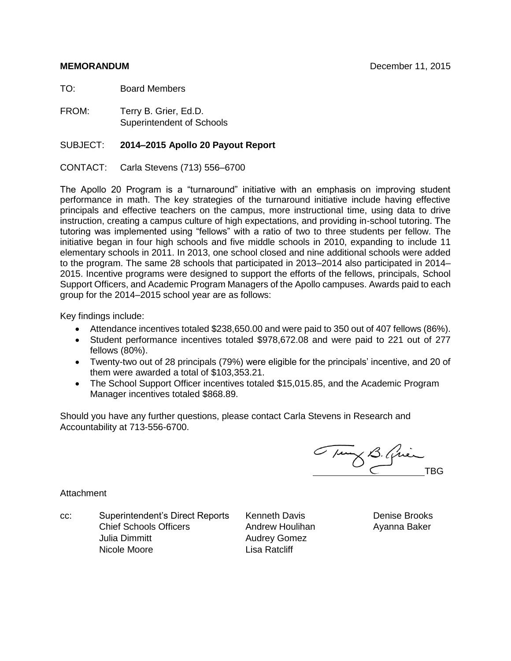TO: Board Members

FROM: Terry B. Grier, Ed.D. Superintendent of Schools

#### SUBJECT: **2014–2015 Apollo 20 Payout Report**

CONTACT: Carla Stevens (713) 556–6700

The Apollo 20 Program is a "turnaround" initiative with an emphasis on improving student performance in math. The key strategies of the turnaround initiative include having effective principals and effective teachers on the campus, more instructional time, using data to drive instruction, creating a campus culture of high expectations, and providing in-school tutoring. The tutoring was implemented using "fellows" with a ratio of two to three students per fellow. The initiative began in four high schools and five middle schools in 2010, expanding to include 11 elementary schools in 2011. In 2013, one school closed and nine additional schools were added to the program. The same 28 schools that participated in 2013–2014 also participated in 2014– 2015. Incentive programs were designed to support the efforts of the fellows, principals, School Support Officers, and Academic Program Managers of the Apollo campuses. Awards paid to each group for the 2014–2015 school year are as follows:

Key findings include:

- Attendance incentives totaled \$238,650.00 and were paid to 350 out of 407 fellows (86%).
- Student performance incentives totaled \$978,672.08 and were paid to 221 out of 277 fellows (80%).
- Twenty-two out of 28 principals (79%) were eligible for the principals' incentive, and 20 of them were awarded a total of \$103,353.21.
- The School Support Officer incentives totaled \$15,015.85, and the Academic Program Manager incentives totaled \$868.89.

Should you have any further questions, please contact Carla Stevens in Research and Accountability at 713-556-6700.

Tung B. Quin

Attachment

cc: Superintendent's Direct Reports Kenneth Davis Denise Brooks Chief Schools Officers **Andrew Houlihan** Ayanna Baker Julia Dimmitt **Audrey Gomez** Nicole Moore **Lisa Ratcliff**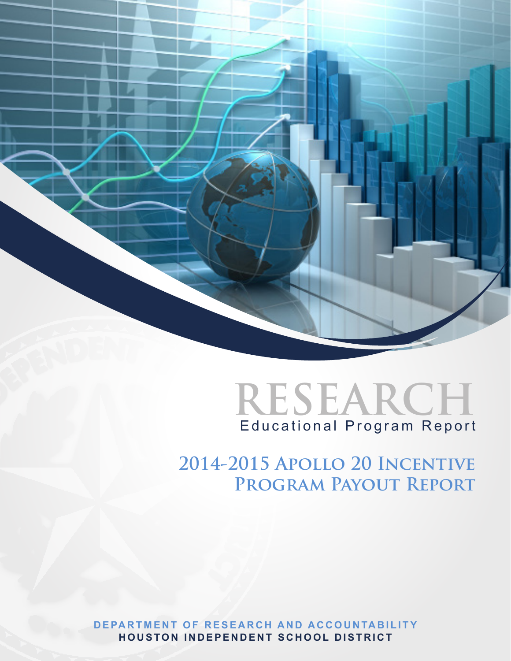



**2014-2015 Apollo 20 Incentive Program Payout Report**

**DEPARTMENT OF RESEARCH AND ACCOUNTABILITY HOUSTON INDEPENDENT SCHOOL DISTRICT**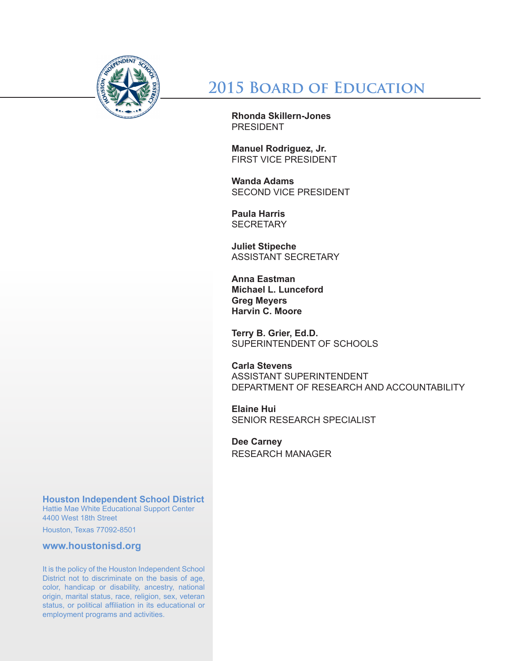

# **2015 Board of Education**

**Rhonda Skillern-Jones** PRESIDENT

**Manuel Rodriguez, Jr.** FIRST VICE PRESIDENT

**Wanda Adams** SECOND VICE PRESIDENT

**Paula Harris SECRETARY** 

**Juliet Stipeche** ASSISTANT SECRETARY

**Anna Eastman Michael L. Lunceford Greg Meyers Harvin C. Moore**

**Terry B. Grier, Ed.D.** SUPERINTENDENT OF SCHOOLS

**Carla Stevens** ASSISTANT SUPERINTENDENT DEPARTMENT OF RESEARCH AND ACCOUNTABILITY

**Elaine Hui** SENIOR RESEARCH SPECIALIST

**Dee Carney** RESEARCH MANAGER

**Houston Independent School District**

Hattie Mae White Educational Support Center 4400 West 18th Street

Houston, Texas 77092-8501

**www.houstonisd.org**

It is the policy of the Houston Independent School District not to discriminate on the basis of age, color, handicap or disability, ancestry, national origin, marital status, race, religion, sex, veteran status, or political affiliation in its educational or employment programs and activities.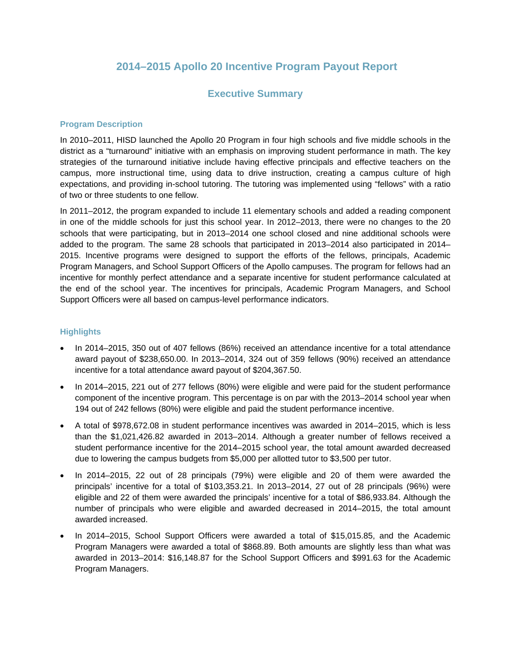### **2014–2015 Apollo 20 Incentive Program Payout Report**

### **Executive Summary**

#### **Program Description**

In 2010–2011, HISD launched the Apollo 20 Program in four high schools and five middle schools in the district as a "turnaround" initiative with an emphasis on improving student performance in math. The key strategies of the turnaround initiative include having effective principals and effective teachers on the campus, more instructional time, using data to drive instruction, creating a campus culture of high expectations, and providing in-school tutoring. The tutoring was implemented using "fellows" with a ratio of two or three students to one fellow.

In 2011–2012, the program expanded to include 11 elementary schools and added a reading component in one of the middle schools for just this school year. In 2012–2013, there were no changes to the 20 schools that were participating, but in 2013–2014 one school closed and nine additional schools were added to the program. The same 28 schools that participated in 2013–2014 also participated in 2014– 2015. Incentive programs were designed to support the efforts of the fellows, principals, Academic Program Managers, and School Support Officers of the Apollo campuses. The program for fellows had an incentive for monthly perfect attendance and a separate incentive for student performance calculated at the end of the school year. The incentives for principals, Academic Program Managers, and School Support Officers were all based on campus-level performance indicators.

#### **Highlights**

- In 2014–2015, 350 out of 407 fellows (86%) received an attendance incentive for a total attendance award payout of \$238,650.00. In 2013–2014, 324 out of 359 fellows (90%) received an attendance incentive for a total attendance award payout of \$204,367.50.
- In 2014–2015, 221 out of 277 fellows (80%) were eligible and were paid for the student performance component of the incentive program. This percentage is on par with the 2013–2014 school year when 194 out of 242 fellows (80%) were eligible and paid the student performance incentive.
- A total of \$978,672.08 in student performance incentives was awarded in 2014–2015, which is less than the \$1,021,426.82 awarded in 2013–2014. Although a greater number of fellows received a student performance incentive for the 2014–2015 school year, the total amount awarded decreased due to lowering the campus budgets from \$5,000 per allotted tutor to \$3,500 per tutor.
- In 2014–2015, 22 out of 28 principals (79%) were eligible and 20 of them were awarded the principals' incentive for a total of \$103,353.21. In 2013–2014, 27 out of 28 principals (96%) were eligible and 22 of them were awarded the principals' incentive for a total of \$86,933.84. Although the number of principals who were eligible and awarded decreased in 2014–2015, the total amount awarded increased.
- In 2014–2015, School Support Officers were awarded a total of \$15,015.85, and the Academic Program Managers were awarded a total of \$868.89. Both amounts are slightly less than what was awarded in 2013–2014: \$16,148.87 for the School Support Officers and \$991.63 for the Academic Program Managers.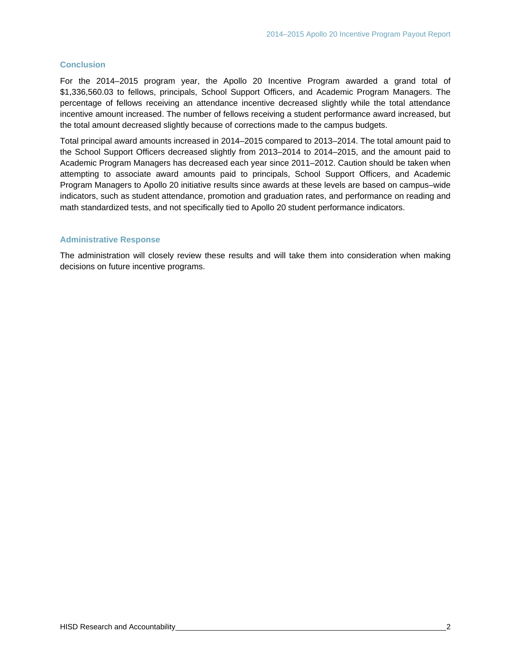#### **Conclusion**

For the 2014–2015 program year, the Apollo 20 Incentive Program awarded a grand total of \$1,336,560.03 to fellows, principals, School Support Officers, and Academic Program Managers. The percentage of fellows receiving an attendance incentive decreased slightly while the total attendance incentive amount increased. The number of fellows receiving a student performance award increased, but the total amount decreased slightly because of corrections made to the campus budgets.

Total principal award amounts increased in 2014–2015 compared to 2013–2014. The total amount paid to the School Support Officers decreased slightly from 2013–2014 to 2014–2015, and the amount paid to Academic Program Managers has decreased each year since 2011–2012. Caution should be taken when attempting to associate award amounts paid to principals, School Support Officers, and Academic Program Managers to Apollo 20 initiative results since awards at these levels are based on campus–wide indicators, such as student attendance, promotion and graduation rates, and performance on reading and math standardized tests, and not specifically tied to Apollo 20 student performance indicators.

#### **Administrative Response**

The administration will closely review these results and will take them into consideration when making decisions on future incentive programs.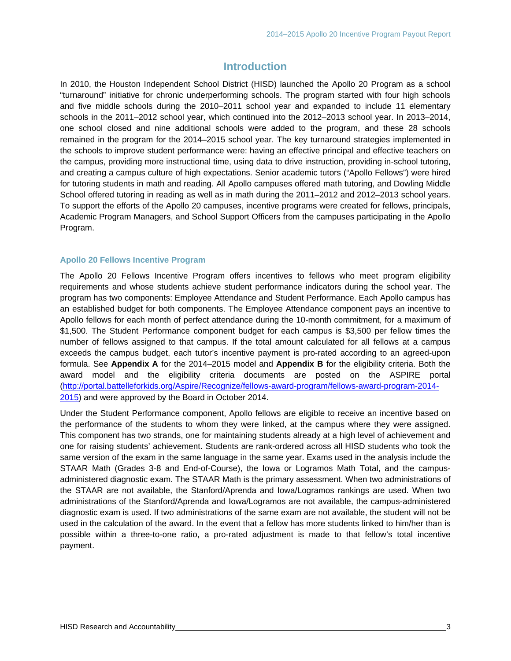### **Introduction**

In 2010, the Houston Independent School District (HISD) launched the Apollo 20 Program as a school "turnaround" initiative for chronic underperforming schools. The program started with four high schools and five middle schools during the 2010–2011 school year and expanded to include 11 elementary schools in the 2011–2012 school year, which continued into the 2012–2013 school year. In 2013–2014, one school closed and nine additional schools were added to the program, and these 28 schools remained in the program for the 2014–2015 school year. The key turnaround strategies implemented in the schools to improve student performance were: having an effective principal and effective teachers on the campus, providing more instructional time, using data to drive instruction, providing in-school tutoring, and creating a campus culture of high expectations. Senior academic tutors ("Apollo Fellows") were hired for tutoring students in math and reading. All Apollo campuses offered math tutoring, and Dowling Middle School offered tutoring in reading as well as in math during the 2011–2012 and 2012–2013 school years. To support the efforts of the Apollo 20 campuses, incentive programs were created for fellows, principals, Academic Program Managers, and School Support Officers from the campuses participating in the Apollo Program.

#### **Apollo 20 Fellows Incentive Program**

The Apollo 20 Fellows Incentive Program offers incentives to fellows who meet program eligibility requirements and whose students achieve student performance indicators during the school year. The program has two components: Employee Attendance and Student Performance. Each Apollo campus has an established budget for both components. The Employee Attendance component pays an incentive to Apollo fellows for each month of perfect attendance during the 10-month commitment, for a maximum of \$1,500. The Student Performance component budget for each campus is \$3,500 per fellow times the number of fellows assigned to that campus. If the total amount calculated for all fellows at a campus exceeds the campus budget, each tutor's incentive payment is pro-rated according to an agreed-upon formula. See **Appendix A** for the 2014–2015 model and **Appendix B** for the eligibility criteria. Both the award model and the eligibility criteria documents are posted on the ASPIRE portal (http://portal.battelleforkids.org/Aspire/Recognize/fellows-award-program/fellows-award-program-2014- 2015) and were approved by the Board in October 2014.

Under the Student Performance component, Apollo fellows are eligible to receive an incentive based on the performance of the students to whom they were linked, at the campus where they were assigned. This component has two strands, one for maintaining students already at a high level of achievement and one for raising students' achievement. Students are rank-ordered across all HISD students who took the same version of the exam in the same language in the same year. Exams used in the analysis include the STAAR Math (Grades 3-8 and End-of-Course), the Iowa or Logramos Math Total, and the campusadministered diagnostic exam. The STAAR Math is the primary assessment. When two administrations of the STAAR are not available, the Stanford/Aprenda and Iowa/Logramos rankings are used. When two administrations of the Stanford/Aprenda and Iowa/Logramos are not available, the campus-administered diagnostic exam is used. If two administrations of the same exam are not available, the student will not be used in the calculation of the award. In the event that a fellow has more students linked to him/her than is possible within a three-to-one ratio, a pro-rated adjustment is made to that fellow's total incentive payment.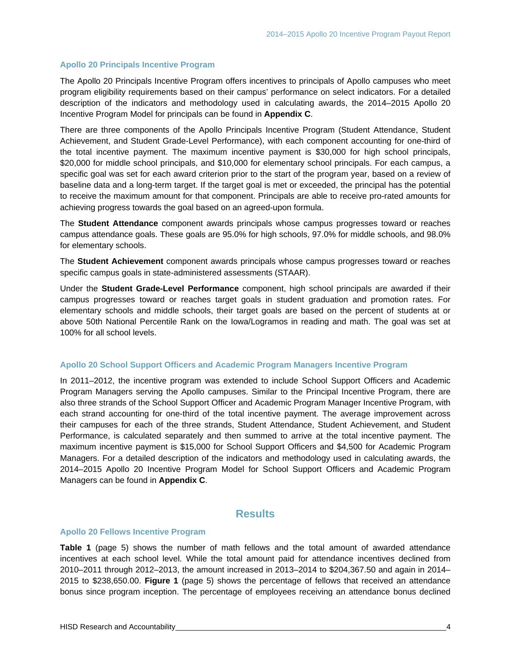#### **Apollo 20 Principals Incentive Program**

The Apollo 20 Principals Incentive Program offers incentives to principals of Apollo campuses who meet program eligibility requirements based on their campus' performance on select indicators. For a detailed description of the indicators and methodology used in calculating awards, the 2014–2015 Apollo 20 Incentive Program Model for principals can be found in **Appendix C**.

There are three components of the Apollo Principals Incentive Program (Student Attendance, Student Achievement, and Student Grade-Level Performance), with each component accounting for one-third of the total incentive payment. The maximum incentive payment is \$30,000 for high school principals, \$20,000 for middle school principals, and \$10,000 for elementary school principals. For each campus, a specific goal was set for each award criterion prior to the start of the program year, based on a review of baseline data and a long-term target. If the target goal is met or exceeded, the principal has the potential to receive the maximum amount for that component. Principals are able to receive pro-rated amounts for achieving progress towards the goal based on an agreed-upon formula.

The **Student Attendance** component awards principals whose campus progresses toward or reaches campus attendance goals. These goals are 95.0% for high schools, 97.0% for middle schools, and 98.0% for elementary schools.

The **Student Achievement** component awards principals whose campus progresses toward or reaches specific campus goals in state-administered assessments (STAAR).

Under the **Student Grade-Level Performance** component, high school principals are awarded if their campus progresses toward or reaches target goals in student graduation and promotion rates. For elementary schools and middle schools, their target goals are based on the percent of students at or above 50th National Percentile Rank on the Iowa/Logramos in reading and math. The goal was set at 100% for all school levels.

#### **Apollo 20 School Support Officers and Academic Program Managers Incentive Program**

In 2011–2012, the incentive program was extended to include School Support Officers and Academic Program Managers serving the Apollo campuses. Similar to the Principal Incentive Program, there are also three strands of the School Support Officer and Academic Program Manager Incentive Program, with each strand accounting for one-third of the total incentive payment. The average improvement across their campuses for each of the three strands, Student Attendance, Student Achievement, and Student Performance, is calculated separately and then summed to arrive at the total incentive payment. The maximum incentive payment is \$15,000 for School Support Officers and \$4,500 for Academic Program Managers. For a detailed description of the indicators and methodology used in calculating awards, the 2014–2015 Apollo 20 Incentive Program Model for School Support Officers and Academic Program Managers can be found in **Appendix C**.

#### **Results**

#### **Apollo 20 Fellows Incentive Program**

**Table 1** (page 5) shows the number of math fellows and the total amount of awarded attendance incentives at each school level. While the total amount paid for attendance incentives declined from 2010–2011 through 2012–2013, the amount increased in 2013–2014 to \$204,367.50 and again in 2014– 2015 to \$238,650.00. **Figure 1** (page 5) shows the percentage of fellows that received an attendance bonus since program inception. The percentage of employees receiving an attendance bonus declined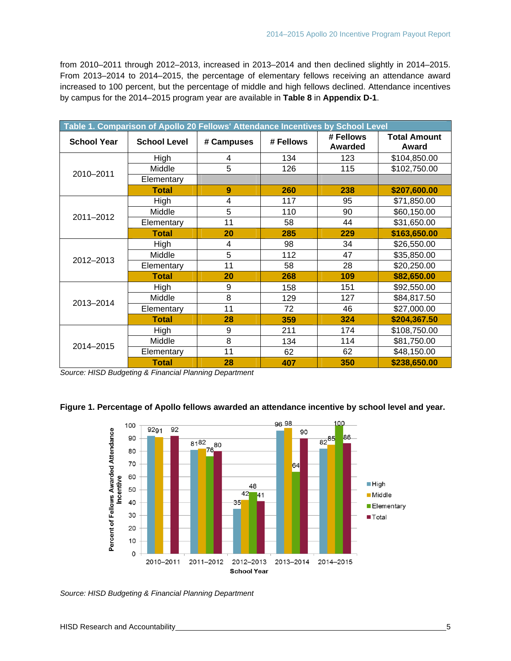from 2010–2011 through 2012–2013, increased in 2013–2014 and then declined slightly in 2014–2015. From 2013–2014 to 2014–2015, the percentage of elementary fellows receiving an attendance award increased to 100 percent, but the percentage of middle and high fellows declined. Attendance incentives by campus for the 2014–2015 program year are available in **Table 8** in **Appendix D-1**.

| Table 1. Comparison of Apollo 20 Fellows' Attendance Incentives by School Level |                     |                |           |                      |                              |  |  |  |  |  |
|---------------------------------------------------------------------------------|---------------------|----------------|-----------|----------------------|------------------------------|--|--|--|--|--|
| <b>School Year</b>                                                              | <b>School Level</b> | # Campuses     | # Fellows | # Fellows<br>Awarded | <b>Total Amount</b><br>Award |  |  |  |  |  |
|                                                                                 | High                | 4              | 134       | 123                  | \$104,850.00                 |  |  |  |  |  |
|                                                                                 | Middle              | 5              | 126       | 115                  | \$102,750.00                 |  |  |  |  |  |
| 2010-2011                                                                       | Elementary          |                |           |                      |                              |  |  |  |  |  |
|                                                                                 | <b>Total</b>        | 9              | 260       | 238                  | \$207,600.00                 |  |  |  |  |  |
| 2011-2012                                                                       | High                | $\overline{4}$ | 117       | 95                   | \$71,850.00                  |  |  |  |  |  |
|                                                                                 | Middle              | 5              | 110       | 90                   | \$60,150.00                  |  |  |  |  |  |
|                                                                                 | Elementary          | 11             | 58        | 44                   | \$31,650.00                  |  |  |  |  |  |
|                                                                                 | <b>Total</b>        | 20             | 285       | 229                  | \$163,650.00                 |  |  |  |  |  |
|                                                                                 | High                | 4              | 98        | 34                   | \$26,550.00                  |  |  |  |  |  |
| 2012-2013                                                                       | Middle              | 5              | 112       | 47                   | \$35,850.00                  |  |  |  |  |  |
|                                                                                 | Elementary          | 11             | 58        | 28                   | \$20,250.00                  |  |  |  |  |  |
|                                                                                 | <b>Total</b>        | 20             | 268       | 109                  | \$82,650.00                  |  |  |  |  |  |
|                                                                                 | High                | 9              | 158       | 151                  | \$92,550.00                  |  |  |  |  |  |
| 2013-2014                                                                       | Middle              | 8              | 129       | 127                  | \$84,817.50                  |  |  |  |  |  |
|                                                                                 | Elementary          | 11             | 72        | 46                   | \$27,000.00                  |  |  |  |  |  |
|                                                                                 | <b>Total</b>        | 28             | 359       | 324                  | \$204,367.50                 |  |  |  |  |  |
|                                                                                 | High                | 9              | 211       | 174                  | \$108,750.00                 |  |  |  |  |  |
| 2014-2015                                                                       | Middle              | 8              | 134       | 114                  | \$81,750.00                  |  |  |  |  |  |
|                                                                                 | Elementary          | 11             | 62        | 62                   | \$48,150.00                  |  |  |  |  |  |
|                                                                                 | <b>Total</b>        | 28             | 407       | 350                  | \$238,650.00                 |  |  |  |  |  |

*Source: HISD Budgeting & Financial Planning Department* 

#### **Figure 1. Percentage of Apollo fellows awarded an attendance incentive by school level and year.**



*Source: HISD Budgeting & Financial Planning Department*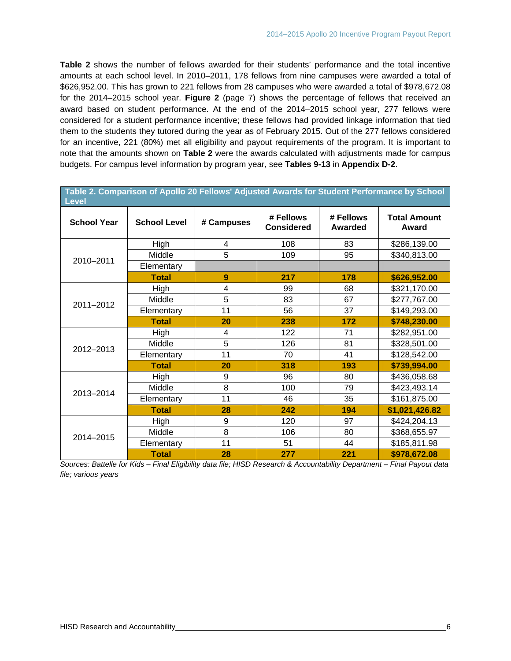**Table 2** shows the number of fellows awarded for their students' performance and the total incentive amounts at each school level. In 2010–2011, 178 fellows from nine campuses were awarded a total of \$626,952.00. This has grown to 221 fellows from 28 campuses who were awarded a total of \$978,672.08 for the 2014–2015 school year. **Figure 2** (page 7) shows the percentage of fellows that received an award based on student performance. At the end of the 2014–2015 school year, 277 fellows were considered for a student performance incentive; these fellows had provided linkage information that tied them to the students they tutored during the year as of February 2015. Out of the 277 fellows considered for an incentive, 221 (80%) met all eligibility and payout requirements of the program. It is important to note that the amounts shown on **Table 2** were the awards calculated with adjustments made for campus budgets. For campus level information by program year, see **Tables 9-13** in **Appendix D-2**.

|                    | Table 2. Comparison of Apollo 20 Fellows' Adjusted Awards for Student Performance by School |            |                                |                      |                              |  |  |  |  |  |  |
|--------------------|---------------------------------------------------------------------------------------------|------------|--------------------------------|----------------------|------------------------------|--|--|--|--|--|--|
| <b>Level</b>       |                                                                                             |            |                                |                      |                              |  |  |  |  |  |  |
| <b>School Year</b> | <b>School Level</b>                                                                         | # Campuses | # Fellows<br><b>Considered</b> | # Fellows<br>Awarded | <b>Total Amount</b><br>Award |  |  |  |  |  |  |
|                    | High                                                                                        | 4          | 108                            | 83                   | \$286,139.00                 |  |  |  |  |  |  |
| 2010-2011          | Middle                                                                                      | 5          | 109                            | 95                   | \$340,813.00                 |  |  |  |  |  |  |
|                    | Elementary                                                                                  |            |                                |                      |                              |  |  |  |  |  |  |
|                    | <b>Total</b>                                                                                | 9          | 217                            | 178                  | \$626,952.00                 |  |  |  |  |  |  |
| 2011-2012          | High                                                                                        | 4          | 99                             | 68                   | \$321,170.00                 |  |  |  |  |  |  |
|                    | Middle                                                                                      | 5          | 83                             | 67                   | \$277,767.00                 |  |  |  |  |  |  |
|                    | Elementary                                                                                  | 11         | 56                             | 37                   | \$149,293.00                 |  |  |  |  |  |  |
|                    | <b>Total</b>                                                                                | 20         | 238                            | 172                  | \$748,230.00                 |  |  |  |  |  |  |
|                    | High                                                                                        | 4          | 122                            | 71                   | \$282,951.00                 |  |  |  |  |  |  |
| 2012-2013          | Middle                                                                                      | 5          | 126                            | 81                   | \$328,501.00                 |  |  |  |  |  |  |
|                    | Elementary                                                                                  | 11         | 70                             | 41                   | \$128,542.00                 |  |  |  |  |  |  |
|                    | <b>Total</b>                                                                                | 20         | 318                            | 193                  | \$739,994.00                 |  |  |  |  |  |  |
|                    | High                                                                                        | 9          | 96                             | 80                   | \$436,058.68                 |  |  |  |  |  |  |
| 2013-2014          | Middle                                                                                      | 8          | 100                            | 79                   | \$423,493.14                 |  |  |  |  |  |  |
|                    | Elementary                                                                                  | 11         | 46                             | 35                   | \$161,875.00                 |  |  |  |  |  |  |
|                    | <b>Total</b>                                                                                | 28         | 242                            | 194                  | \$1,021,426.82               |  |  |  |  |  |  |
|                    | High                                                                                        | 9          | 120                            | 97                   | \$424,204.13                 |  |  |  |  |  |  |
| 2014-2015          | Middle                                                                                      | 8          | 106                            | 80                   | \$368,655.97                 |  |  |  |  |  |  |
|                    | Elementary                                                                                  | 11         | 51                             | 44                   | \$185,811.98                 |  |  |  |  |  |  |
|                    | <b>Total</b>                                                                                | 28         | 277                            | 221                  | \$978,672.08                 |  |  |  |  |  |  |

*Sources: Battelle for Kids – Final Eligibility data file; HISD Research & Accountability Department – Final Payout data file; various years*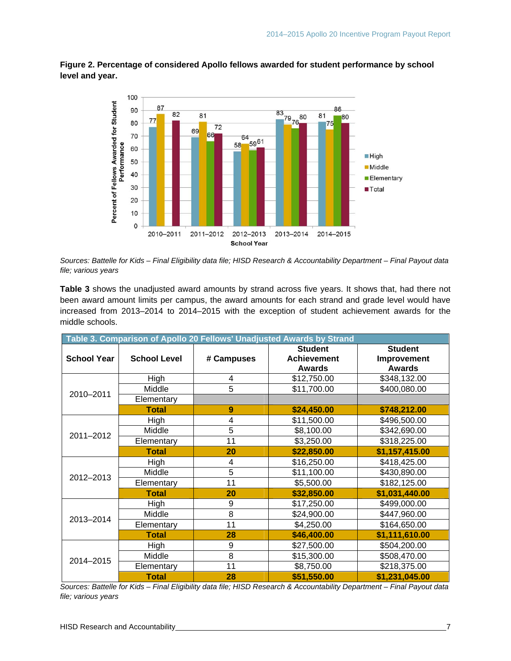

**Figure 2. Percentage of considered Apollo fellows awarded for student performance by school level and year.** 

*Sources: Battelle for Kids – Final Eligibility data file; HISD Research & Accountability Department – Final Payout data file; various years* 

**Table 3** shows the unadjusted award amounts by strand across five years. It shows that, had there not been award amount limits per campus, the award amounts for each strand and grade level would have increased from 2013–2014 to 2014–2015 with the exception of student achievement awards for the middle schools.

| Table 3. Comparison of Apollo 20 Fellows' Unadjusted Awards by Strand |                     |            |                    |                |  |  |  |  |  |
|-----------------------------------------------------------------------|---------------------|------------|--------------------|----------------|--|--|--|--|--|
|                                                                       |                     |            | <b>Student</b>     | <b>Student</b> |  |  |  |  |  |
| <b>School Year</b>                                                    | <b>School Level</b> | # Campuses | <b>Achievement</b> | Improvement    |  |  |  |  |  |
|                                                                       |                     |            | <b>Awards</b>      | <b>Awards</b>  |  |  |  |  |  |
|                                                                       | High                | 4          | \$12,750.00        | \$348,132.00   |  |  |  |  |  |
| 2010-2011                                                             | Middle              | 5          | \$11,700.00        | \$400,080.00   |  |  |  |  |  |
|                                                                       | Elementary          |            |                    |                |  |  |  |  |  |
|                                                                       | <b>Total</b>        | 9          | \$24,450.00        | \$748,212.00   |  |  |  |  |  |
| 2011-2012                                                             | High                | 4          | \$11,500.00        | \$496,500.00   |  |  |  |  |  |
|                                                                       | Middle              | 5          | \$8,100.00         | \$342,690.00   |  |  |  |  |  |
|                                                                       | Elementary          | 11         | \$3,250.00         | \$318,225.00   |  |  |  |  |  |
|                                                                       | <b>Total</b>        | 20         | \$22,850.00        | \$1,157,415.00 |  |  |  |  |  |
|                                                                       | High                | 4          | \$16,250.00        | \$418,425.00   |  |  |  |  |  |
|                                                                       | Middle              | 5          | \$11,100.00        | \$430,890.00   |  |  |  |  |  |
| 2012-2013                                                             | Elementary          | 11         | \$5,500.00         | \$182,125.00   |  |  |  |  |  |
|                                                                       | <b>Total</b>        | 20         | \$32,850.00        | \$1,031,440.00 |  |  |  |  |  |
|                                                                       | High                | 9          | \$17,250.00        | \$499,000.00   |  |  |  |  |  |
|                                                                       | Middle              | 8          | \$24,900.00        | \$447,960.00   |  |  |  |  |  |
| 2013-2014                                                             | Elementary          | 11         | \$4,250.00         | \$164,650.00   |  |  |  |  |  |
|                                                                       | <b>Total</b>        | 28         | \$46,400.00        | \$1,111,610.00 |  |  |  |  |  |
|                                                                       | High                | 9          | \$27,500.00        | \$504,200.00   |  |  |  |  |  |
| 2014-2015                                                             | Middle              | 8          | \$15,300.00        | \$508,470.00   |  |  |  |  |  |
|                                                                       | Elementary          | 11         | \$8,750.00         | \$218,375.00   |  |  |  |  |  |
|                                                                       | <b>Total</b>        | 28         | \$51,550.00        | \$1,231,045.00 |  |  |  |  |  |

*Sources: Battelle for Kids – Final Eligibility data file; HISD Research & Accountability Department – Final Payout data file; various years*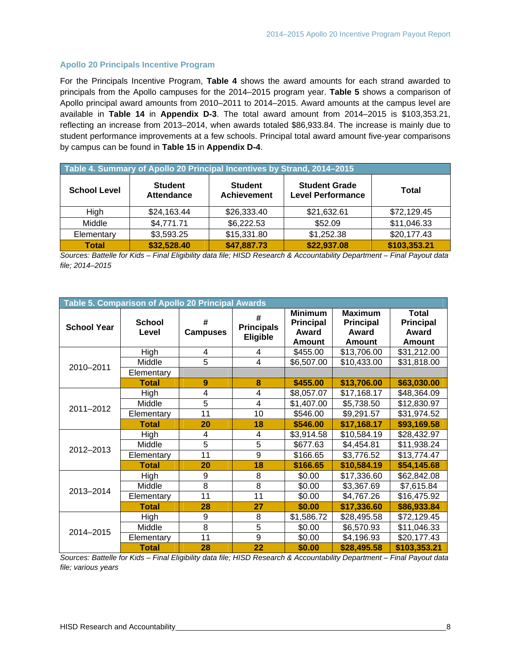#### **Apollo 20 Principals Incentive Program**

For the Principals Incentive Program, **Table 4** shows the award amounts for each strand awarded to principals from the Apollo campuses for the 2014–2015 program year. **Table 5** shows a comparison of Apollo principal award amounts from 2010–2011 to 2014–2015. Award amounts at the campus level are available in **Table 14** in **Appendix D-3**. The total award amount from 2014–2015 is \$103,353.21, reflecting an increase from 2013–2014, when awards totaled \$86,933.84. The increase is mainly due to student performance improvements at a few schools. Principal total award amount five-year comparisons by campus can be found in **Table 15** in **Appendix D-4**.

| Table 4. Summary of Apollo 20 Principal Incentives by Strand, 2014-2015 |                                                                             |             |                                                  |              |  |  |  |  |
|-------------------------------------------------------------------------|-----------------------------------------------------------------------------|-------------|--------------------------------------------------|--------------|--|--|--|--|
| <b>School Level</b>                                                     | <b>Student</b><br><b>Student</b><br><b>Achievement</b><br><b>Attendance</b> |             | <b>Student Grade</b><br><b>Level Performance</b> | Total        |  |  |  |  |
| High                                                                    | \$24,163.44                                                                 | \$26,333.40 | \$21,632.61                                      | \$72,129.45  |  |  |  |  |
| Middle                                                                  | \$4,771.71                                                                  | \$6,222.53  | \$52.09                                          | \$11,046.33  |  |  |  |  |
| Elementary                                                              | \$3,593.25                                                                  | \$15,331.80 | \$1,252.38                                       | \$20,177.43  |  |  |  |  |
| <b>Total</b>                                                            | \$32,528.40                                                                 | \$47,887.73 | \$22,937.08                                      | \$103,353.21 |  |  |  |  |

*Sources: Battelle for Kids – Final Eligibility data file; HISD Research & Accountability Department – Final Payout data file; 2014–2015* 

|                    | Table 5. Comparison of Apollo 20 Principal Awards |                      |                                           |                                                              |                                                              |                                                            |  |  |  |
|--------------------|---------------------------------------------------|----------------------|-------------------------------------------|--------------------------------------------------------------|--------------------------------------------------------------|------------------------------------------------------------|--|--|--|
| <b>School Year</b> | <b>School</b><br>Level                            | #<br><b>Campuses</b> | #<br><b>Principals</b><br><b>Eligible</b> | <b>Minimum</b><br><b>Principal</b><br>Award<br><b>Amount</b> | <b>Maximum</b><br><b>Principal</b><br>Award<br><b>Amount</b> | <b>Total</b><br><b>Principal</b><br>Award<br><b>Amount</b> |  |  |  |
|                    | High                                              | 4                    | 4                                         | \$455.00                                                     | \$13,706.00                                                  | \$31,212.00                                                |  |  |  |
| 2010-2011          | Middle                                            | 5                    | $\overline{4}$                            | \$6,507.00                                                   | \$10,433.00                                                  | \$31,818.00                                                |  |  |  |
|                    | Elementary                                        |                      |                                           |                                                              |                                                              |                                                            |  |  |  |
|                    | <b>Total</b>                                      | 9                    | 8                                         | \$455.00                                                     | \$13,706.00                                                  | \$63,030.00                                                |  |  |  |
| 2011-2012          | High                                              | 4                    | 4                                         | \$8,057.07                                                   | \$17,168.17                                                  | \$48,364.09                                                |  |  |  |
|                    | Middle                                            | 5                    | 4                                         | \$1,407.00                                                   | \$5,738.50                                                   | \$12,830.97                                                |  |  |  |
|                    | Elementary                                        | 11                   | 10                                        | \$546.00                                                     | \$9,291.57                                                   | \$31,974.52                                                |  |  |  |
|                    | <b>Total</b>                                      | 20                   | 18                                        | \$546.00                                                     | \$17,168.17                                                  | \$93,169.58                                                |  |  |  |
|                    | High                                              | 4                    | 4                                         | \$3,914.58                                                   | \$10,584.19                                                  | \$28,432.97                                                |  |  |  |
| 2012-2013          | Middle                                            | 5                    | $\overline{5}$                            | \$677.63                                                     | \$4,454.81                                                   | \$11,938.24                                                |  |  |  |
|                    | Elementary                                        | $\overline{11}$      | 9                                         | \$166.65                                                     | \$3,776.52                                                   | \$13,774.47                                                |  |  |  |
|                    | <b>Total</b>                                      | 20                   | 18                                        | \$166.65                                                     | \$10,584.19                                                  | \$54,145.68                                                |  |  |  |
|                    | High                                              | 9                    | 8                                         | \$0.00                                                       | \$17,336.60                                                  | \$62,842.08                                                |  |  |  |
| 2013-2014          | Middle                                            | 8                    | 8                                         | \$0.00                                                       | \$3,367.69                                                   | \$7,615.84                                                 |  |  |  |
|                    | Elementary                                        | 11                   | 11                                        | \$0.00                                                       | \$4,767.26                                                   | \$16,475.92                                                |  |  |  |
|                    | Total                                             | 28                   | 27                                        | \$0.00                                                       | \$17,336.60                                                  | \$86,933.84                                                |  |  |  |
|                    | High                                              | 9                    | 8                                         | \$1,586.72                                                   | \$28,495.58                                                  | \$72,129.45                                                |  |  |  |
| 2014-2015          | Middle                                            | 8                    | 5                                         | \$0.00                                                       | \$6,570.93                                                   | \$11,046.33                                                |  |  |  |
|                    | Elementary                                        | 11                   | 9                                         | \$0.00                                                       | \$4,196.93                                                   | \$20,177.43                                                |  |  |  |
|                    | <b>Total</b>                                      | 28                   | 22                                        | \$0.00                                                       | \$28,495.58                                                  | \$103,353.21                                               |  |  |  |

*Sources: Battelle for Kids – Final Eligibility data file; HISD Research & Accountability Department – Final Payout data file; various years*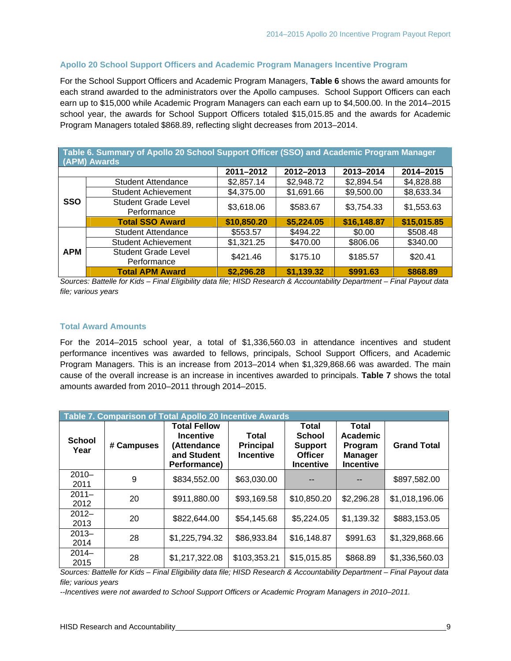#### **Apollo 20 School Support Officers and Academic Program Managers Incentive Program**

For the School Support Officers and Academic Program Managers, **Table 6** shows the award amounts for each strand awarded to the administrators over the Apollo campuses. School Support Officers can each earn up to \$15,000 while Academic Program Managers can each earn up to \$4,500.00. In the 2014–2015 school year, the awards for School Support Officers totaled \$15,015.85 and the awards for Academic Program Managers totaled \$868.89, reflecting slight decreases from 2013–2014.

|            | Table 6. Summary of Apollo 20 School Support Officer (SSO) and Academic Program Manager<br>(APM) Awards |             |            |             |             |  |  |  |  |
|------------|---------------------------------------------------------------------------------------------------------|-------------|------------|-------------|-------------|--|--|--|--|
|            |                                                                                                         | 2011-2012   | 2012-2013  | 2013-2014   | 2014-2015   |  |  |  |  |
| <b>SSO</b> | <b>Student Attendance</b>                                                                               | \$2,857.14  | \$2,948.72 | \$2,894.54  | \$4,828.88  |  |  |  |  |
|            | Student Achievement                                                                                     | \$4,375.00  | \$1,691.66 | \$9,500.00  | \$8,633.34  |  |  |  |  |
|            | Student Grade Level<br>Performance                                                                      | \$3,618.06  | \$583.67   | \$3,754.33  | \$1,553.63  |  |  |  |  |
|            | <b>Total SSO Award</b>                                                                                  | \$10,850.20 | \$5,224.05 | \$16,148.87 | \$15,015.85 |  |  |  |  |
|            | <b>Student Attendance</b>                                                                               | \$553.57    | \$494.22   | \$0.00      | \$508.48    |  |  |  |  |
|            | <b>Student Achievement</b>                                                                              | \$1,321.25  | \$470.00   | \$806.06    | \$340.00    |  |  |  |  |
| <b>APM</b> | <b>Student Grade Level</b><br>Performance                                                               | \$421.46    | \$175.10   | \$185.57    | \$20.41     |  |  |  |  |
|            | <b>Total APM Award</b>                                                                                  | \$2,296.28  | \$1,139.32 | \$991.63    | \$868.89    |  |  |  |  |

*Sources: Battelle for Kids – Final Eligibility data file; HISD Research & Accountability Department – Final Payout data file; various years* 

#### **Total Award Amounts**

For the 2014–2015 school year, a total of \$1,336,560.03 in attendance incentives and student performance incentives was awarded to fellows, principals, School Support Officers, and Academic Program Managers. This is an increase from 2013–2014 when \$1,329,868.66 was awarded. The main cause of the overall increase is an increase in incentives awarded to principals. **Table 7** shows the total amounts awarded from 2010–2011 through 2014–2015.

|                       | Table 7. Comparison of Total Apollo 20 Incentive Awards |                                                                                       |                                               |                                                                                |                                                                           |                    |  |  |  |  |  |
|-----------------------|---------------------------------------------------------|---------------------------------------------------------------------------------------|-----------------------------------------------|--------------------------------------------------------------------------------|---------------------------------------------------------------------------|--------------------|--|--|--|--|--|
| <b>School</b><br>Year | # Campuses                                              | <b>Total Fellow</b><br><b>Incentive</b><br>(Attendance<br>and Student<br>Performance) | Total<br><b>Principal</b><br><b>Incentive</b> | Total<br><b>School</b><br><b>Support</b><br><b>Officer</b><br><b>Incentive</b> | <b>Total</b><br>Academic<br>Program<br><b>Manager</b><br><b>Incentive</b> | <b>Grand Total</b> |  |  |  |  |  |
| $2010 -$<br>2011      | 9                                                       | \$834,552.00                                                                          | \$63,030.00                                   |                                                                                |                                                                           | \$897,582.00       |  |  |  |  |  |
| $2011 -$<br>2012      | 20                                                      | \$911,880.00                                                                          | \$93,169.58                                   | \$10,850.20                                                                    | \$2,296.28                                                                | \$1,018,196.06     |  |  |  |  |  |
| $2012 -$<br>2013      | 20                                                      | \$822,644.00                                                                          | \$54,145.68                                   | \$5,224.05                                                                     | \$1,139.32                                                                | \$883,153.05       |  |  |  |  |  |
| $2013 -$<br>2014      | 28                                                      | \$1,225,794.32                                                                        | \$86,933.84                                   | \$16,148.87                                                                    | \$991.63                                                                  | \$1,329,868.66     |  |  |  |  |  |
| $2014 -$<br>2015      | 28                                                      | \$1,217,322.08                                                                        | \$103,353.21                                  | \$15,015.85                                                                    | \$868.89                                                                  | \$1,336,560.03     |  |  |  |  |  |

*Sources: Battelle for Kids – Final Eligibility data file; HISD Research & Accountability Department – Final Payout data file; various years* 

*--Incentives were not awarded to School Support Officers or Academic Program Managers in 2010–2011.*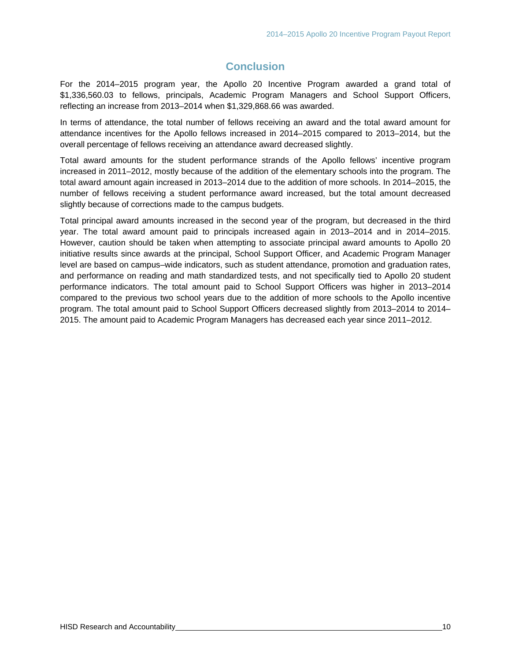### **Conclusion**

For the 2014–2015 program year, the Apollo 20 Incentive Program awarded a grand total of \$1,336,560.03 to fellows, principals, Academic Program Managers and School Support Officers, reflecting an increase from 2013–2014 when \$1,329,868.66 was awarded.

In terms of attendance, the total number of fellows receiving an award and the total award amount for attendance incentives for the Apollo fellows increased in 2014–2015 compared to 2013–2014, but the overall percentage of fellows receiving an attendance award decreased slightly.

Total award amounts for the student performance strands of the Apollo fellows' incentive program increased in 2011–2012, mostly because of the addition of the elementary schools into the program. The total award amount again increased in 2013–2014 due to the addition of more schools. In 2014–2015, the number of fellows receiving a student performance award increased, but the total amount decreased slightly because of corrections made to the campus budgets.

Total principal award amounts increased in the second year of the program, but decreased in the third year. The total award amount paid to principals increased again in 2013–2014 and in 2014–2015. However, caution should be taken when attempting to associate principal award amounts to Apollo 20 initiative results since awards at the principal, School Support Officer, and Academic Program Manager level are based on campus–wide indicators, such as student attendance, promotion and graduation rates, and performance on reading and math standardized tests, and not specifically tied to Apollo 20 student performance indicators. The total amount paid to School Support Officers was higher in 2013–2014 compared to the previous two school years due to the addition of more schools to the Apollo incentive program. The total amount paid to School Support Officers decreased slightly from 2013–2014 to 2014– 2015. The amount paid to Academic Program Managers has decreased each year since 2011–2012.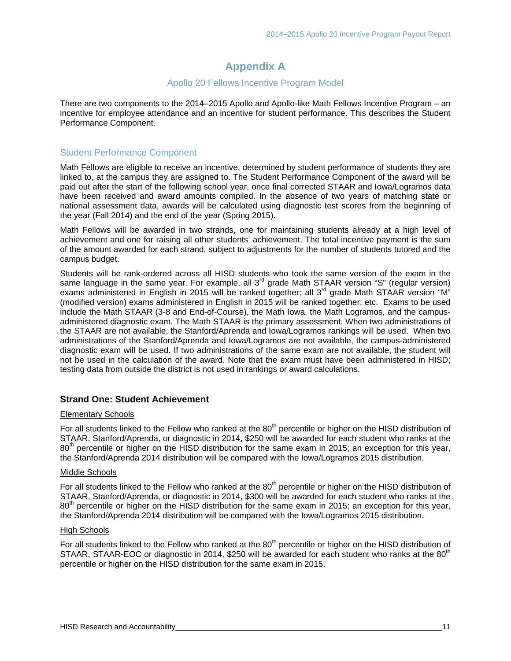### **Appendix A**

#### Apollo 20 Fellows Incentive Program Model

There are two components to the 2014–2015 Apollo and Apollo-like Math Fellows Incentive Program – an incentive for employee attendance and an incentive for student performance. This describes the Student Performance Component.

#### Student Performance Component

Math Fellows are eligible to receive an incentive, determined by student performance of students they are linked to, at the campus they are assigned to. The Student Performance Component of the award will be paid out after the start of the following school year, once final corrected STAAR and Iowa/Logramos data have been received and award amounts compiled. In the absence of two years of matching state or national assessment data, awards will be calculated using diagnostic test scores from the beginning of the year (Fall 2014) and the end of the year (Spring 2015).

Math Fellows will be awarded in two strands, one for maintaining students already at a high level of achievement and one for raising all other students' achievement. The total incentive payment is the sum of the amount awarded for each strand, subject to adjustments for the number of students tutored and the campus budget.

Students will be rank-ordered across all HISD students who took the same version of the exam in the same language in the same year. For example, all  $3<sup>rd</sup>$  grade Math STAAR version "S" (regular version) exams administered in English in 2015 will be ranked together; all  $3<sup>rd</sup>$  grade Math STAAR version "M" (modified version) exams administered in English in 2015 will be ranked together; etc. Exams to be used include the Math STAAR (3-8 and End-of-Course), the Math Iowa, the Math Logramos, and the campusadministered diagnostic exam. The Math STAAR is the primary assessment. When two administrations of the STAAR are not available, the Stanford/Aprenda and Iowa/Logramos rankings will be used. When two administrations of the Stanford/Aprenda and Iowa/Logramos are not available, the campus-administered diagnostic exam will be used. If two administrations of the same exam are not available, the student will not be used in the calculation of the award. Note that the exam must have been administered in HISD; testing data from outside the district is not used in rankings or award calculations.

#### **Strand One: Student Achievement**

#### Elementary Schools

For all students linked to the Fellow who ranked at the 80<sup>th</sup> percentile or higher on the HISD distribution of STAAR, Stanford/Aprenda, or diagnostic in 2014, \$250 will be awarded for each student who ranks at the  $80<sup>th</sup>$  percentile or higher on the HISD distribution for the same exam in 2015; an exception for this year, the Stanford/Aprenda 2014 distribution will be compared with the Iowa/Logramos 2015 distribution.

#### Middle Schools

For all students linked to the Fellow who ranked at the 80<sup>th</sup> percentile or higher on the HISD distribution of STAAR, Stanford/Aprenda, or diagnostic in 2014, \$300 will be awarded for each student who ranks at the 80<sup>th</sup> percentile or higher on the HISD distribution for the same exam in 2015; an exception for this year, the Stanford/Aprenda 2014 distribution will be compared with the Iowa/Logramos 2015 distribution.

#### High Schools

For all students linked to the Fellow who ranked at the  $80<sup>th</sup>$  percentile or higher on the HISD distribution of STAAR, STAAR-EOC or diagnostic in 2014, \$250 will be awarded for each student who ranks at the 80<sup>th</sup> percentile or higher on the HISD distribution for the same exam in 2015.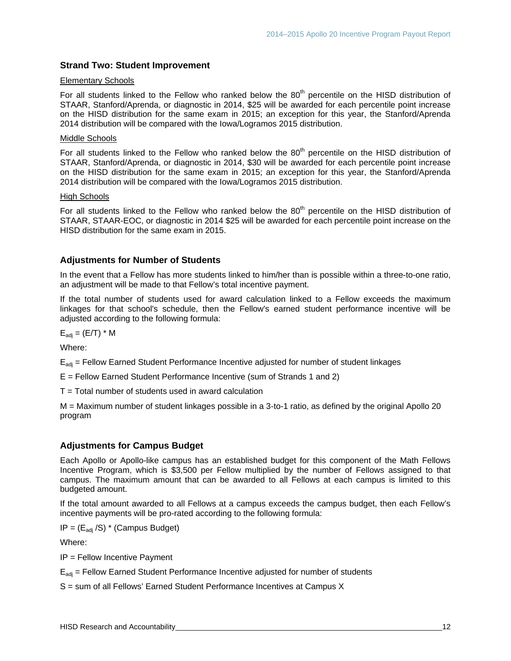#### **Strand Two: Student Improvement**

#### Elementary Schools

For all students linked to the Fellow who ranked below the  $80<sup>th</sup>$  percentile on the HISD distribution of STAAR, Stanford/Aprenda, or diagnostic in 2014, \$25 will be awarded for each percentile point increase on the HISD distribution for the same exam in 2015; an exception for this year, the Stanford/Aprenda 2014 distribution will be compared with the Iowa/Logramos 2015 distribution.

#### Middle Schools

For all students linked to the Fellow who ranked below the  $80<sup>th</sup>$  percentile on the HISD distribution of STAAR, Stanford/Aprenda, or diagnostic in 2014, \$30 will be awarded for each percentile point increase on the HISD distribution for the same exam in 2015; an exception for this year, the Stanford/Aprenda 2014 distribution will be compared with the Iowa/Logramos 2015 distribution.

#### High Schools

For all students linked to the Fellow who ranked below the  $80<sup>th</sup>$  percentile on the HISD distribution of STAAR, STAAR-EOC, or diagnostic in 2014 \$25 will be awarded for each percentile point increase on the HISD distribution for the same exam in 2015.

#### **Adjustments for Number of Students**

In the event that a Fellow has more students linked to him/her than is possible within a three-to-one ratio, an adjustment will be made to that Fellow's total incentive payment.

If the total number of students used for award calculation linked to a Fellow exceeds the maximum linkages for that school's schedule, then the Fellow's earned student performance incentive will be adjusted according to the following formula:

 $E_{\text{adj}} = (E/T)$  \* M

Where:

 $E_{\text{adi}}$  = Fellow Earned Student Performance Incentive adjusted for number of student linkages

E = Fellow Earned Student Performance Incentive (sum of Strands 1 and 2)

 $T =$  Total number of students used in award calculation

M = Maximum number of student linkages possible in a 3-to-1 ratio, as defined by the original Apollo 20 program

#### **Adjustments for Campus Budget**

Each Apollo or Apollo-like campus has an established budget for this component of the Math Fellows Incentive Program, which is \$3,500 per Fellow multiplied by the number of Fellows assigned to that campus. The maximum amount that can be awarded to all Fellows at each campus is limited to this budgeted amount.

If the total amount awarded to all Fellows at a campus exceeds the campus budget, then each Fellow's incentive payments will be pro-rated according to the following formula:

 $IP = (E_{\text{adi}}/S) * (Campus Budget)$ 

Where:

IP = Fellow Incentive Payment

 $E_{\text{adj}}$  = Fellow Earned Student Performance Incentive adjusted for number of students

S = sum of all Fellows' Earned Student Performance Incentives at Campus X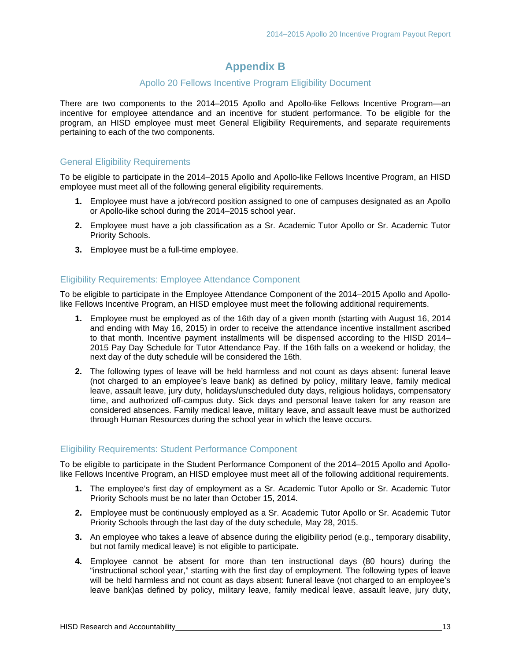### **Appendix B**

#### Apollo 20 Fellows Incentive Program Eligibility Document

There are two components to the 2014–2015 Apollo and Apollo-like Fellows Incentive Program—an incentive for employee attendance and an incentive for student performance. To be eligible for the program, an HISD employee must meet General Eligibility Requirements, and separate requirements pertaining to each of the two components.

#### General Eligibility Requirements

To be eligible to participate in the 2014–2015 Apollo and Apollo-like Fellows Incentive Program, an HISD employee must meet all of the following general eligibility requirements.

- **1.** Employee must have a job/record position assigned to one of campuses designated as an Apollo or Apollo-like school during the 2014–2015 school year.
- **2.** Employee must have a job classification as a Sr. Academic Tutor Apollo or Sr. Academic Tutor Priority Schools.
- **3.** Employee must be a full-time employee.

#### Eligibility Requirements: Employee Attendance Component

To be eligible to participate in the Employee Attendance Component of the 2014–2015 Apollo and Apollolike Fellows Incentive Program, an HISD employee must meet the following additional requirements.

- **1.** Employee must be employed as of the 16th day of a given month (starting with August 16, 2014 and ending with May 16, 2015) in order to receive the attendance incentive installment ascribed to that month. Incentive payment installments will be dispensed according to the HISD 2014– 2015 Pay Day Schedule for Tutor Attendance Pay. If the 16th falls on a weekend or holiday, the next day of the duty schedule will be considered the 16th.
- **2.** The following types of leave will be held harmless and not count as days absent: funeral leave (not charged to an employee's leave bank) as defined by policy, military leave, family medical leave, assault leave, jury duty, holidays/unscheduled duty days, religious holidays, compensatory time, and authorized off-campus duty. Sick days and personal leave taken for any reason are considered absences. Family medical leave, military leave, and assault leave must be authorized through Human Resources during the school year in which the leave occurs.

#### Eligibility Requirements: Student Performance Component

To be eligible to participate in the Student Performance Component of the 2014–2015 Apollo and Apollolike Fellows Incentive Program, an HISD employee must meet all of the following additional requirements.

- **1.** The employee's first day of employment as a Sr. Academic Tutor Apollo or Sr. Academic Tutor Priority Schools must be no later than October 15, 2014.
- **2.** Employee must be continuously employed as a Sr. Academic Tutor Apollo or Sr. Academic Tutor Priority Schools through the last day of the duty schedule, May 28, 2015.
- **3.** An employee who takes a leave of absence during the eligibility period (e.g., temporary disability, but not family medical leave) is not eligible to participate.
- **4.** Employee cannot be absent for more than ten instructional days (80 hours) during the "instructional school year," starting with the first day of employment. The following types of leave will be held harmless and not count as days absent: funeral leave (not charged to an employee's leave bank)as defined by policy, military leave, family medical leave, assault leave, jury duty,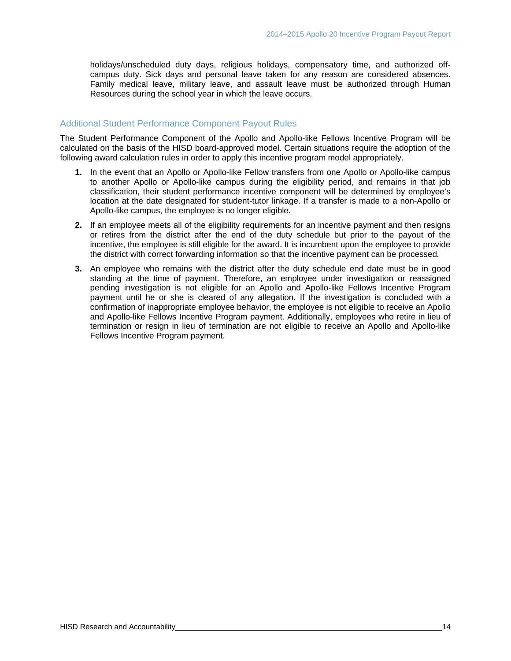holidays/unscheduled duty days, religious holidays, compensatory time, and authorized offcampus duty. Sick days and personal leave taken for any reason are considered absences. Family medical leave, military leave, and assault leave must be authorized through Human Resources during the school year in which the leave occurs.

#### Additional Student Performance Component Payout Rules

The Student Performance Component of the Apollo and Apollo-like Fellows Incentive Program will be calculated on the basis of the HISD board-approved model. Certain situations require the adoption of the following award calculation rules in order to apply this incentive program model appropriately.

- **1.** In the event that an Apollo or Apollo-like Fellow transfers from one Apollo or Apollo-like campus to another Apollo or Apollo-like campus during the eligibility period, and remains in that job classification, their student performance incentive component will be determined by employee's location at the date designated for student-tutor linkage. If a transfer is made to a non-Apollo or Apollo-like campus, the employee is no longer eligible.
- **2.** If an employee meets all of the eligibility requirements for an incentive payment and then resigns or retires from the district after the end of the duty schedule but prior to the payout of the incentive, the employee is still eligible for the award. It is incumbent upon the employee to provide the district with correct forwarding information so that the incentive payment can be processed*.*
- **3.** An employee who remains with the district after the duty schedule end date must be in good standing at the time of payment. Therefore, an employee under investigation or reassigned pending investigation is not eligible for an Apollo and Apollo-like Fellows Incentive Program payment until he or she is cleared of any allegation. If the investigation is concluded with a confirmation of inappropriate employee behavior, the employee is not eligible to receive an Apollo and Apollo-like Fellows Incentive Program payment. Additionally, employees who retire in lieu of termination or resign in lieu of termination are not eligible to receive an Apollo and Apollo-like Fellows Incentive Program payment.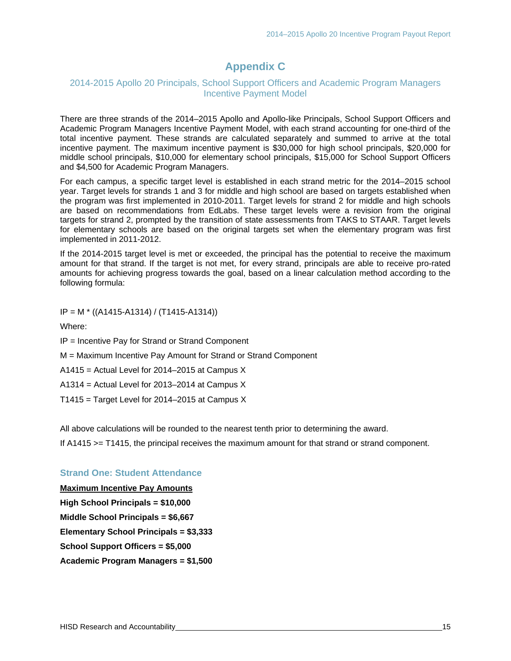### **Appendix C**

#### 2014-2015 Apollo 20 Principals, School Support Officers and Academic Program Managers Incentive Payment Model

There are three strands of the 2014–2015 Apollo and Apollo-like Principals, School Support Officers and Academic Program Managers Incentive Payment Model, with each strand accounting for one-third of the total incentive payment. These strands are calculated separately and summed to arrive at the total incentive payment. The maximum incentive payment is \$30,000 for high school principals, \$20,000 for middle school principals, \$10,000 for elementary school principals, \$15,000 for School Support Officers and \$4,500 for Academic Program Managers.

For each campus, a specific target level is established in each strand metric for the 2014–2015 school year. Target levels for strands 1 and 3 for middle and high school are based on targets established when the program was first implemented in 2010-2011. Target levels for strand 2 for middle and high schools are based on recommendations from EdLabs. These target levels were a revision from the original targets for strand 2, prompted by the transition of state assessments from TAKS to STAAR. Target levels for elementary schools are based on the original targets set when the elementary program was first implemented in 2011-2012.

If the 2014-2015 target level is met or exceeded, the principal has the potential to receive the maximum amount for that strand. If the target is not met, for every strand, principals are able to receive pro-rated amounts for achieving progress towards the goal, based on a linear calculation method according to the following formula:

IP = M \* ((A1415-A1314) / (T1415-A1314))

Where:

- IP = Incentive Pay for Strand or Strand Component
- M = Maximum Incentive Pay Amount for Strand or Strand Component
- A1415 = Actual Level for 2014–2015 at Campus X
- A1314 = Actual Level for 2013–2014 at Campus X
- $T1415$  = Target Level for 2014–2015 at Campus X

All above calculations will be rounded to the nearest tenth prior to determining the award.

If A1415 >= T1415, the principal receives the maximum amount for that strand or strand component.

#### **Strand One: Student Attendance**

**Maximum Incentive Pay Amounts High School Principals = \$10,000 Middle School Principals = \$6,667 Elementary School Principals = \$3,333 School Support Officers = \$5,000 Academic Program Managers = \$1,500**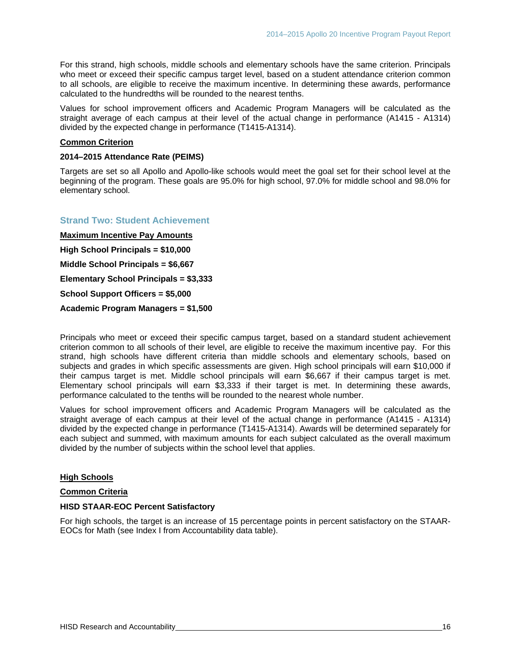For this strand, high schools, middle schools and elementary schools have the same criterion. Principals who meet or exceed their specific campus target level, based on a student attendance criterion common to all schools, are eligible to receive the maximum incentive. In determining these awards, performance calculated to the hundredths will be rounded to the nearest tenths.

Values for school improvement officers and Academic Program Managers will be calculated as the straight average of each campus at their level of the actual change in performance (A1415 - A1314) divided by the expected change in performance (T1415-A1314).

#### **Common Criterion**

#### **2014–2015 Attendance Rate (PEIMS)**

Targets are set so all Apollo and Apollo-like schools would meet the goal set for their school level at the beginning of the program. These goals are 95.0% for high school, 97.0% for middle school and 98.0% for elementary school.

#### **Strand Two: Student Achievement**

**Maximum Incentive Pay Amounts High School Principals = \$10,000 Middle School Principals = \$6,667 Elementary School Principals = \$3,333 School Support Officers = \$5,000 Academic Program Managers = \$1,500** 

Principals who meet or exceed their specific campus target, based on a standard student achievement criterion common to all schools of their level, are eligible to receive the maximum incentive pay. For this strand, high schools have different criteria than middle schools and elementary schools, based on subjects and grades in which specific assessments are given. High school principals will earn \$10,000 if their campus target is met. Middle school principals will earn \$6,667 if their campus target is met. Elementary school principals will earn \$3,333 if their target is met. In determining these awards, performance calculated to the tenths will be rounded to the nearest whole number.

Values for school improvement officers and Academic Program Managers will be calculated as the straight average of each campus at their level of the actual change in performance (A1415 - A1314) divided by the expected change in performance (T1415-A1314). Awards will be determined separately for each subject and summed, with maximum amounts for each subject calculated as the overall maximum divided by the number of subjects within the school level that applies.

#### **High Schools**

#### **Common Criteria**

#### **HISD STAAR-EOC Percent Satisfactory**

For high schools, the target is an increase of 15 percentage points in percent satisfactory on the STAAR-EOCs for Math (see Index I from Accountability data table).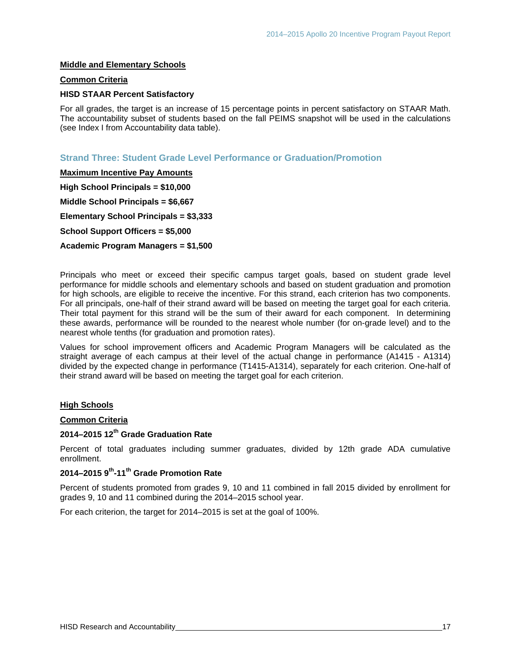#### **Middle and Elementary Schools**

#### **Common Criteria**

#### **HISD STAAR Percent Satisfactory**

For all grades, the target is an increase of 15 percentage points in percent satisfactory on STAAR Math. The accountability subset of students based on the fall PEIMS snapshot will be used in the calculations (see Index I from Accountability data table).

#### **Strand Three: Student Grade Level Performance or Graduation/Promotion**

**Maximum Incentive Pay Amounts High School Principals = \$10,000 Middle School Principals = \$6,667 Elementary School Principals = \$3,333 School Support Officers = \$5,000** 

**Academic Program Managers = \$1,500** 

Principals who meet or exceed their specific campus target goals, based on student grade level performance for middle schools and elementary schools and based on student graduation and promotion for high schools, are eligible to receive the incentive. For this strand, each criterion has two components. For all principals, one-half of their strand award will be based on meeting the target goal for each criteria. Their total payment for this strand will be the sum of their award for each component. In determining these awards, performance will be rounded to the nearest whole number (for on-grade level) and to the nearest whole tenths (for graduation and promotion rates).

Values for school improvement officers and Academic Program Managers will be calculated as the straight average of each campus at their level of the actual change in performance (A1415 - A1314) divided by the expected change in performance (T1415-A1314), separately for each criterion. One-half of their strand award will be based on meeting the target goal for each criterion.

#### **High Schools**

#### **Common Criteria**

#### **2014–2015 12th Grade Graduation Rate**

Percent of total graduates including summer graduates, divided by 12th grade ADA cumulative enrollment.

#### **2014–2015 9th-11th Grade Promotion Rate**

Percent of students promoted from grades 9, 10 and 11 combined in fall 2015 divided by enrollment for grades 9, 10 and 11 combined during the 2014–2015 school year.

For each criterion, the target for 2014–2015 is set at the goal of 100%.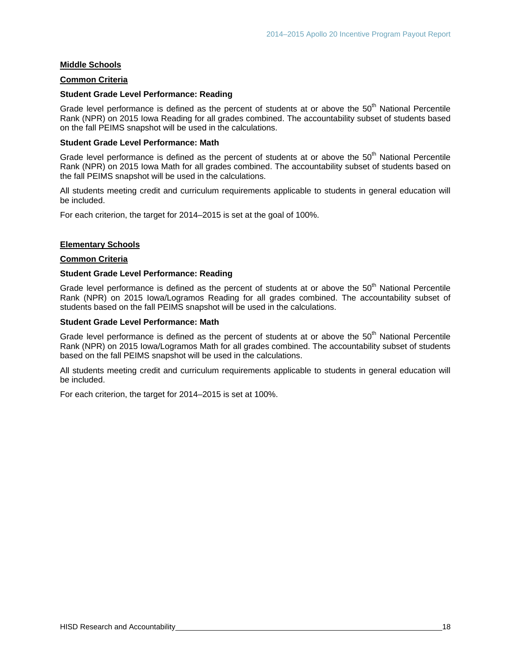#### **Middle Schools**

#### **Common Criteria**

#### **Student Grade Level Performance: Reading**

Grade level performance is defined as the percent of students at or above the  $50<sup>th</sup>$  National Percentile Rank (NPR) on 2015 Iowa Reading for all grades combined. The accountability subset of students based on the fall PEIMS snapshot will be used in the calculations.

#### **Student Grade Level Performance: Math**

Grade level performance is defined as the percent of students at or above the  $50<sup>th</sup>$  National Percentile Rank (NPR) on 2015 Iowa Math for all grades combined. The accountability subset of students based on the fall PEIMS snapshot will be used in the calculations.

All students meeting credit and curriculum requirements applicable to students in general education will be included.

For each criterion, the target for 2014–2015 is set at the goal of 100%.

#### **Elementary Schools**

#### **Common Criteria**

#### **Student Grade Level Performance: Reading**

Grade level performance is defined as the percent of students at or above the  $50<sup>th</sup>$  National Percentile Rank (NPR) on 2015 Iowa/Logramos Reading for all grades combined. The accountability subset of students based on the fall PEIMS snapshot will be used in the calculations.

#### **Student Grade Level Performance: Math**

Grade level performance is defined as the percent of students at or above the  $50<sup>th</sup>$  National Percentile Rank (NPR) on 2015 Iowa/Logramos Math for all grades combined. The accountability subset of students based on the fall PEIMS snapshot will be used in the calculations.

All students meeting credit and curriculum requirements applicable to students in general education will be included.

For each criterion, the target for 2014–2015 is set at 100%.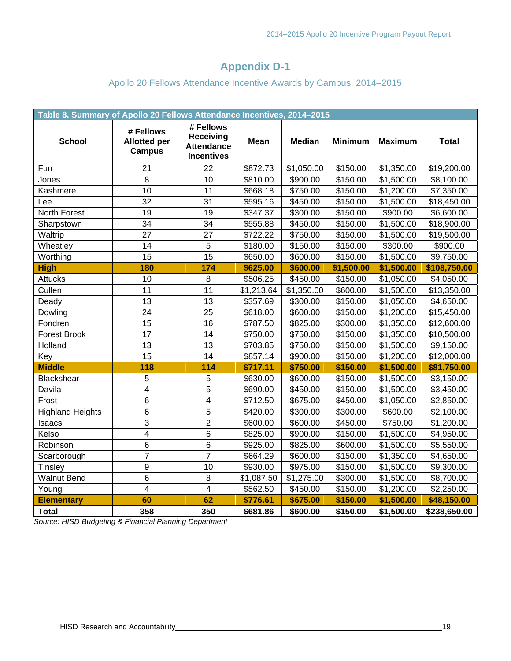### **Appendix D-1**

### Apollo 20 Fellows Attendance Incentive Awards by Campus, 2014–2015

|                         | Table 8. Summary of Apollo 20 Fellows Attendance Incentives, 2014-2015 |                                                                  |             |               |                |                |              |  |
|-------------------------|------------------------------------------------------------------------|------------------------------------------------------------------|-------------|---------------|----------------|----------------|--------------|--|
| <b>School</b>           | # Fellows<br><b>Allotted per</b><br><b>Campus</b>                      | # Fellows<br>Receiving<br><b>Attendance</b><br><b>Incentives</b> | <b>Mean</b> | <b>Median</b> | <b>Minimum</b> | <b>Maximum</b> | <b>Total</b> |  |
| Furr                    | 21                                                                     | 22                                                               | \$872.73    | \$1,050.00    | \$150.00       | \$1,350.00     | \$19,200.00  |  |
| Jones                   | 8                                                                      | 10                                                               | \$810.00    | \$900.00      | \$150.00       | \$1,500.00     | \$8,100.00   |  |
| Kashmere                | 10                                                                     | 11                                                               | \$668.18    | \$750.00      | \$150.00       | \$1,200.00     | \$7,350.00   |  |
| Lee                     | 32                                                                     | 31                                                               | \$595.16    | \$450.00      | \$150.00       | \$1,500.00     | \$18,450.00  |  |
| North Forest            | 19                                                                     | 19                                                               | \$347.37    | \$300.00      | \$150.00       | \$900.00       | \$6,600.00   |  |
| Sharpstown              | 34                                                                     | 34                                                               | \$555.88    | \$450.00      | \$150.00       | \$1,500.00     | \$18,900.00  |  |
| Waltrip                 | 27                                                                     | 27                                                               | \$722.22    | \$750.00      | \$150.00       | \$1,500.00     | \$19,500.00  |  |
| Wheatley                | 14                                                                     | 5                                                                | \$180.00    | \$150.00      | \$150.00       | \$300.00       | \$900.00     |  |
| Worthing                | 15                                                                     | 15                                                               | \$650.00    | \$600.00      | \$150.00       | \$1,500.00     | \$9,750.00   |  |
| <b>High</b>             | 180                                                                    | 174                                                              | \$625.00    | \$600.00      | \$1,500.00     | \$1,500.00     | \$108,750.00 |  |
| Attucks                 | 10                                                                     | 8                                                                | \$506.25    | \$450.00      | \$150.00       | \$1,050.00     | \$4,050.00   |  |
| Cullen                  | 11                                                                     | 11                                                               | \$1,213.64  | \$1,350.00    | \$600.00       | \$1,500.00     | \$13,350.00  |  |
| Deady                   | 13                                                                     | 13                                                               | \$357.69    | \$300.00      | \$150.00       | \$1,050.00     | \$4,650.00   |  |
| Dowling                 | 24                                                                     | 25                                                               | \$618.00    | \$600.00      | \$150.00       | \$1,200.00     | \$15,450.00  |  |
| Fondren                 | 15                                                                     | 16                                                               | \$787.50    | \$825.00      | \$300.00       | \$1,350.00     | \$12,600.00  |  |
| <b>Forest Brook</b>     | 17                                                                     | 14                                                               | \$750.00    | \$750.00      | \$150.00       | \$1,350.00     | \$10,500.00  |  |
| Holland                 | 13                                                                     | 13                                                               | \$703.85    | \$750.00      | \$150.00       | \$1,500.00     | \$9,150.00   |  |
| Key                     | 15                                                                     | 14                                                               | \$857.14    | \$900.00      | \$150.00       | \$1,200.00     | \$12,000.00  |  |
| <b>Middle</b>           | 118                                                                    | 114                                                              | \$717.11    | \$750.00      | \$150.00       | \$1,500.00     | \$81,750.00  |  |
| Blackshear              | 5                                                                      | 5                                                                | \$630.00    | \$600.00      | \$150.00       | \$1,500.00     | \$3,150.00   |  |
| Davila                  | 4                                                                      | 5                                                                | \$690.00    | \$450.00      | \$150.00       | \$1,500.00     | \$3,450.00   |  |
| Frost                   | 6                                                                      | $\overline{\mathbf{4}}$                                          | \$712.50    | \$675.00      | \$450.00       | \$1,050.00     | \$2,850.00   |  |
| <b>Highland Heights</b> | 6                                                                      | 5                                                                | \$420.00    | \$300.00      | \$300.00       | \$600.00       | \$2,100.00   |  |
| Isaacs                  | 3                                                                      | $\overline{2}$                                                   | \$600.00    | \$600.00      | \$450.00       | \$750.00       | \$1,200.00   |  |
| Kelso                   | 4                                                                      | 6                                                                | \$825.00    | \$900.00      | \$150.00       | \$1,500.00     | \$4,950.00   |  |
| Robinson                | 6                                                                      | 6                                                                | \$925.00    | \$825.00      | \$600.00       | \$1,500.00     | \$5,550.00   |  |
| Scarborough             | 7                                                                      | $\overline{7}$                                                   | \$664.29    | \$600.00      | \$150.00       | \$1,350.00     | \$4,650.00   |  |
| <b>Tinsley</b>          | 9                                                                      | 10                                                               | \$930.00    | \$975.00      | \$150.00       | \$1,500.00     | \$9,300.00   |  |
| <b>Walnut Bend</b>      | 6                                                                      | 8                                                                | \$1,087.50  | \$1,275.00    | \$300.00       | \$1,500.00     | \$8,700.00   |  |
| Young                   | 4                                                                      | $\overline{4}$                                                   | \$562.50    | \$450.00      | \$150.00       | \$1,200.00     | \$2,250.00   |  |
| <b>Elementary</b>       | 60                                                                     | 62                                                               | \$776.61    | \$675.00      | \$150.00       | \$1,500.00     | \$48,150.00  |  |
| <b>Total</b>            | 358                                                                    | 350                                                              | \$681.86    | \$600.00      | \$150.00       | \$1,500.00     | \$238,650.00 |  |

*Source: HISD Budgeting & Financial Planning Department*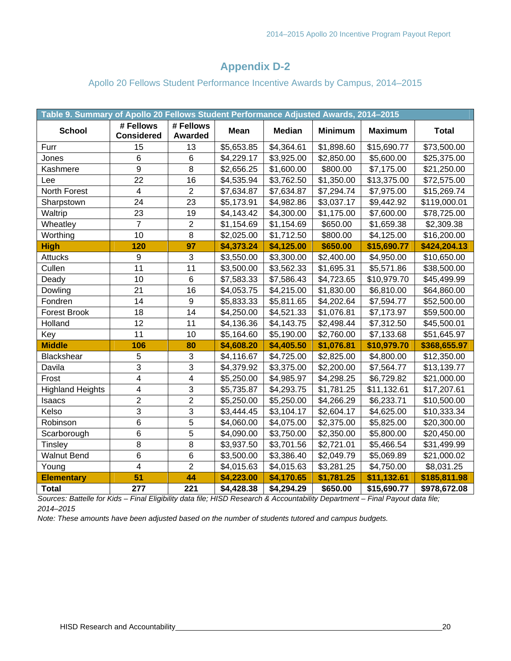### **Appendix D-2**

### Apollo 20 Fellows Student Performance Incentive Awards by Campus, 2014–2015

|                         | Table 9. Summary of Apollo 20 Fellows Student Performance Adjusted Awards, 2014-2015 |                             |             |               |                |                |              |  |  |
|-------------------------|--------------------------------------------------------------------------------------|-----------------------------|-------------|---------------|----------------|----------------|--------------|--|--|
| <b>School</b>           | # Fellows<br><b>Considered</b>                                                       | # Fellows<br><b>Awarded</b> | <b>Mean</b> | <b>Median</b> | <b>Minimum</b> | <b>Maximum</b> | <b>Total</b> |  |  |
| Furr                    | 15                                                                                   | 13                          | \$5,653.85  | \$4,364.61    | \$1,898.60     | \$15,690.77    | \$73,500.00  |  |  |
| Jones                   | 6                                                                                    | 6                           | \$4,229.17  | \$3,925.00    | \$2,850.00     | \$5,600.00     | \$25,375.00  |  |  |
| Kashmere                | 9                                                                                    | 8                           | \$2,656.25  | \$1,600.00    | \$800.00       | \$7,175.00     | \$21,250.00  |  |  |
| Lee                     | 22                                                                                   | 16                          | \$4,535.94  | \$3,762.50    | \$1,350.00     | \$13,375.00    | \$72,575.00  |  |  |
| North Forest            | $\overline{4}$                                                                       | $\overline{2}$              | \$7,634.87  | \$7,634.87    | \$7,294.74     | \$7,975.00     | \$15,269.74  |  |  |
| Sharpstown              | 24                                                                                   | 23                          | \$5,173.91  | \$4,982.86    | \$3,037.17     | \$9,442.92     | \$119,000.01 |  |  |
| Waltrip                 | 23                                                                                   | 19                          | \$4,143.42  | \$4,300.00    | \$1,175.00     | \$7,600.00     | \$78,725.00  |  |  |
| Wheatley                | $\overline{7}$                                                                       | $\overline{2}$              | \$1,154.69  | \$1,154.69    | \$650.00       | \$1,659.38     | \$2,309.38   |  |  |
| Worthing                | 10                                                                                   | 8                           | \$2,025.00  | \$1,712.50    | \$800.00       | \$4,125.00     | \$16,200.00  |  |  |
| <b>High</b>             | 120                                                                                  | 97                          | \$4,373.24  | \$4,125.00    | \$650.00       | \$15,690.77    | \$424,204.13 |  |  |
| Attucks                 | 9                                                                                    | 3                           | \$3,550.00  | \$3,300.00    | \$2,400.00     | \$4,950.00     | \$10,650.00  |  |  |
| Cullen                  | 11                                                                                   | 11                          | \$3,500.00  | \$3,562.33    | \$1,695.31     | \$5,571.86     | \$38,500.00  |  |  |
| Deady                   | 10                                                                                   | 6                           | \$7,583.33  | \$7,586.43    | \$4,723.65     | \$10,979.70    | \$45,499.99  |  |  |
| Dowling                 | 21                                                                                   | 16                          | \$4,053.75  | \$4,215.00    | \$1,830.00     | \$6,810.00     | \$64,860.00  |  |  |
| Fondren                 | 14                                                                                   | 9                           | \$5,833.33  | \$5,811.65    | \$4,202.64     | \$7,594.77     | \$52,500.00  |  |  |
| <b>Forest Brook</b>     | 18                                                                                   | 14                          | \$4,250.00  | \$4,521.33    | \$1,076.81     | \$7,173.97     | \$59,500.00  |  |  |
| Holland                 | 12                                                                                   | 11                          | \$4,136.36  | \$4,143.75    | \$2,498.44     | \$7,312.50     | \$45,500.01  |  |  |
| Key                     | 11                                                                                   | 10                          | \$5,164.60  | \$5,190.00    | \$2,760.00     | \$7,133.68     | \$51,645.97  |  |  |
| <b>Middle</b>           | 106                                                                                  | 80                          | \$4,608.20  | \$4,405.50    | \$1,076.81     | \$10,979.70    | \$368,655.97 |  |  |
| <b>Blackshear</b>       | 5                                                                                    | 3                           | \$4,116.67  | \$4,725.00    | \$2,825.00     | \$4,800.00     | \$12,350.00  |  |  |
| Davila                  | 3                                                                                    | $\overline{3}$              | \$4,379.92  | \$3,375.00    | \$2,200.00     | \$7,564.77     | \$13,139.77  |  |  |
| Frost                   | $\overline{\mathbf{4}}$                                                              | $\overline{\mathbf{4}}$     | \$5,250.00  | \$4,985.97    | \$4,298.25     | \$6,729.82     | \$21,000.00  |  |  |
| <b>Highland Heights</b> | $\overline{\mathbf{4}}$                                                              | 3                           | \$5,735.87  | \$4,293.75    | \$1,781.25     | \$11,132.61    | \$17,207.61  |  |  |
| <b>Isaacs</b>           | $\overline{2}$                                                                       | $\overline{2}$              | \$5,250.00  | \$5,250.00    | \$4,266.29     | \$6,233.71     | \$10,500.00  |  |  |
| Kelso                   | 3                                                                                    | 3                           | \$3,444.45  | \$3,104.17    | \$2,604.17     | \$4,625.00     | \$10,333.34  |  |  |
| Robinson                | 6                                                                                    | 5                           | \$4,060.00  | \$4,075.00    | \$2,375.00     | \$5,825.00     | \$20,300.00  |  |  |
| Scarborough             | 6                                                                                    | 5                           | \$4,090.00  | \$3,750.00    | \$2,350.00     | \$5,800.00     | \$20,450.00  |  |  |
| Tinsley                 | $\overline{8}$                                                                       | 8                           | \$3,937.50  | \$3,701.56    | \$2,721.01     | \$5,466.54     | \$31,499.99  |  |  |
| <b>Walnut Bend</b>      | $\overline{6}$                                                                       | 6                           | \$3,500.00  | \$3,386.40    | \$2,049.79     | \$5,069.89     | \$21,000.02  |  |  |
| Young                   | $\overline{\mathbf{4}}$                                                              | $\overline{2}$              | \$4,015.63  | \$4,015.63    | \$3,281.25     | \$4,750.00     | \$8,031.25   |  |  |
| <b>Elementary</b>       | 51                                                                                   | 44                          | \$4,223.00  | \$4,170.65    | \$1,781.25     | \$11,132.61    | \$185,811.98 |  |  |
| <b>Total</b>            | 277                                                                                  | 221                         | \$4,428.38  | \$4,294.29    | \$650.00       | \$15,690.77    | \$978,672.08 |  |  |

*Sources: Battelle for Kids – Final Eligibility data file; HISD Research & Accountability Department – Final Payout data file; 2014–2015*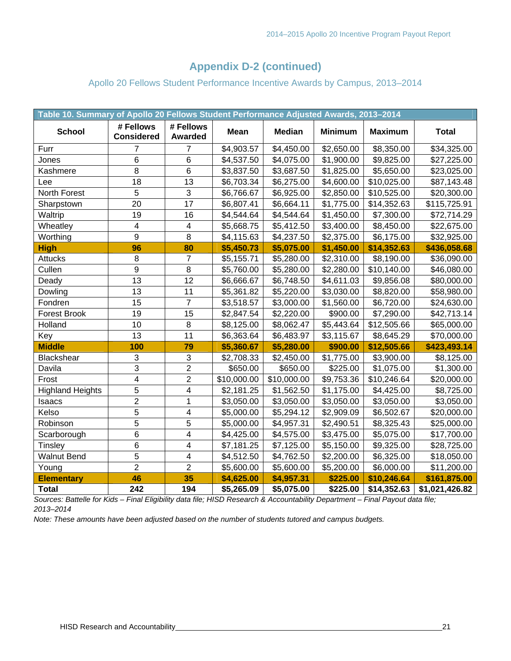### Apollo 20 Fellows Student Performance Incentive Awards by Campus, 2013–2014

|                         | Table 10. Summary of Apollo 20 Fellows Student Performance Adjusted Awards, 2013-2014 |                             |             |               |                |                        |                |  |
|-------------------------|---------------------------------------------------------------------------------------|-----------------------------|-------------|---------------|----------------|------------------------|----------------|--|
| <b>School</b>           | # Fellows<br><b>Considered</b>                                                        | # Fellows<br><b>Awarded</b> | <b>Mean</b> | <b>Median</b> | <b>Minimum</b> | <b>Maximum</b>         | <b>Total</b>   |  |
| Furr                    | 7                                                                                     | $\overline{7}$              | \$4,903.57  | \$4,450.00    | \$2,650.00     | \$8,350.00             | \$34,325.00    |  |
| Jones                   | $6\phantom{1}$                                                                        | $6\phantom{1}$              | \$4,537.50  | \$4,075.00    | \$1,900.00     | \$9,825.00             | \$27,225.00    |  |
| Kashmere                | $\overline{8}$                                                                        | $\overline{6}$              | \$3,837.50  | \$3,687.50    | \$1,825.00     | \$5,650.00             | \$23,025.00    |  |
| Lee                     | 18                                                                                    | 13                          | \$6,703.34  | \$6,275.00    | \$4,600.00     | \$10,025.00            | \$87,143.48    |  |
| North Forest            | 5                                                                                     | 3                           | \$6,766.67  | \$6,925.00    | \$2,850.00     | \$10,525.00            | \$20,300.00    |  |
| Sharpstown              | 20                                                                                    | $\overline{17}$             | \$6,807.41  | \$6,664.11    | \$1,775.00     | \$14,352.63            | \$115,725.91   |  |
| Waltrip                 | 19                                                                                    | 16                          | \$4,544.64  | \$4,544.64    | \$1,450.00     | \$7,300.00             | \$72,714.29    |  |
| Wheatley                | 4                                                                                     | $\overline{\mathbf{4}}$     | \$5,668.75  | \$5,412.50    | \$3,400.00     | \$8,450.00             | \$22,675.00    |  |
| Worthing                | 9                                                                                     | 8                           | \$4,115.63  | \$4,237.50    | \$2,375.00     | \$6,175.00             | \$32,925.00    |  |
| <b>High</b>             | 96                                                                                    | 80                          | \$5,450.73  | \$5,075.00    | \$1,450.00     | \$14,352.63            | \$436,058.68   |  |
| Attucks                 | 8                                                                                     | $\overline{7}$              | \$5,155.71  | \$5,280.00    | \$2,310.00     | \$8,190.00             | \$36,090.00    |  |
| Cullen                  | 9                                                                                     | 8                           | \$5,760.00  | \$5,280.00    | \$2,280.00     | \$10,140.00            | \$46,080.00    |  |
| Deady                   | 13                                                                                    | 12                          | \$6,666.67  | \$6,748.50    | \$4,611.03     | \$9,856.08             | \$80,000.00    |  |
| Dowling                 | 13                                                                                    | 11                          | \$5,361.82  | \$5,220.00    | \$3,030.00     | \$8,820.00             | \$58,980.00    |  |
| Fondren                 | $\overline{15}$                                                                       | $\overline{7}$              | \$3,518.57  | \$3,000.00    | \$1,560.00     | $\overline{$6,720.00}$ | \$24,630.00    |  |
| <b>Forest Brook</b>     | 19                                                                                    | 15                          | \$2,847.54  | \$2,220.00    | \$900.00       | \$7,290.00             | \$42,713.14    |  |
| Holland                 | 10                                                                                    | 8                           | \$8,125.00  | \$8,062.47    | \$5,443.64     | \$12,505.66            | \$65,000.00    |  |
| Key                     | 13                                                                                    | 11                          | \$6,363.64  | \$6,483.97    | \$3,115.67     | \$8,645.29             | \$70,000.00    |  |
| <b>Middle</b>           | 100                                                                                   | 79                          | \$5,360.67  | \$5,280.00    | \$900.00       | \$12,505.66            | \$423,493.14   |  |
| Blackshear              | 3                                                                                     | 3                           | \$2,708.33  | \$2,450.00    | \$1,775.00     | \$3,900.00             | \$8,125.00     |  |
| Davila                  | 3                                                                                     | $\overline{2}$              | \$650.00    | \$650.00      | \$225.00       | \$1,075.00             | \$1,300.00     |  |
| Frost                   | 4                                                                                     | $\overline{2}$              | \$10,000.00 | \$10,000.00   | \$9,753.36     | \$10,246.64            | \$20,000.00    |  |
| <b>Highland Heights</b> | 5                                                                                     | 4                           | \$2,181.25  | \$1,562.50    | \$1,175.00     | \$4,425.00             | \$8,725.00     |  |
| Isaacs                  | $\overline{2}$                                                                        | 1                           | \$3,050.00  | \$3,050.00    | \$3,050.00     | \$3,050.00             | \$3,050.00     |  |
| Kelso                   | 5                                                                                     | $\overline{\mathbf{4}}$     | \$5,000.00  | \$5,294.12    | \$2,909.09     | \$6,502.67             | \$20,000.00    |  |
| Robinson                | 5                                                                                     | $\overline{5}$              | \$5,000.00  | \$4,957.31    | \$2,490.51     | \$8,325.43             | \$25,000.00    |  |
| Scarborough             | $6\phantom{1}$                                                                        | 4                           | \$4,425.00  | \$4,575.00    | \$3,475.00     | \$5,075.00             | \$17,700.00    |  |
| Tinsley                 | $6\phantom{1}$                                                                        | 4                           | \$7,181.25  | \$7,125.00    | \$5,150.00     | \$9,325.00             | \$28,725.00    |  |
| <b>Walnut Bend</b>      | 5                                                                                     | $\overline{\mathbf{4}}$     | \$4,512.50  | \$4,762.50    | \$2,200.00     | \$6,325.00             | \$18,050.00    |  |
| Young                   | $\overline{2}$                                                                        | $\overline{2}$              | \$5,600.00  | \$5,600.00    | \$5,200.00     | \$6,000.00             | \$11,200.00    |  |
| <b>Elementary</b>       | 46                                                                                    | 35                          | \$4,625.00  | \$4,957.31    | \$225.00       | \$10,246.64            | \$161,875.00   |  |
| <b>Total</b>            | 242                                                                                   | 194                         | \$5,265.09  | \$5,075.00    | \$225.00       | \$14,352.63            | \$1,021,426.82 |  |

*Sources: Battelle for Kids – Final Eligibility data file; HISD Research & Accountability Department – Final Payout data file; 2013–2014*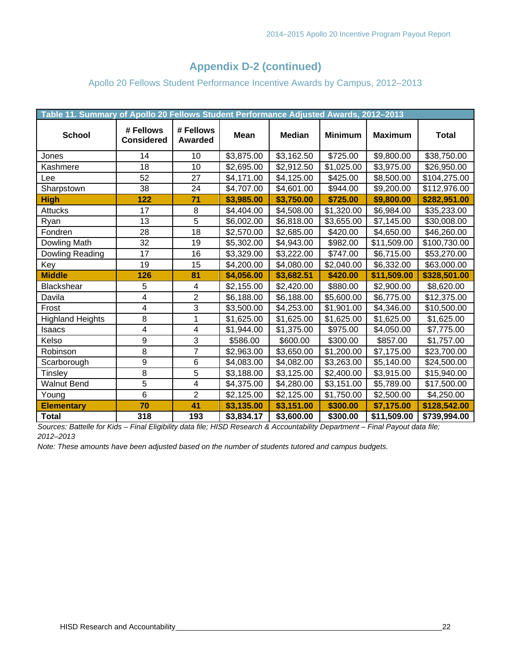### Apollo 20 Fellows Student Performance Incentive Awards by Campus, 2012–2013

| Table 11. Summary of Apollo 20 Fellows Student Performance Adjusted Awards, 2012-2013 |                                |                          |             |               |                |                |              |
|---------------------------------------------------------------------------------------|--------------------------------|--------------------------|-------------|---------------|----------------|----------------|--------------|
| <b>School</b>                                                                         | # Fellows<br><b>Considered</b> | # Fellows<br>Awarded     | <b>Mean</b> | <b>Median</b> | <b>Minimum</b> | <b>Maximum</b> | <b>Total</b> |
| Jones                                                                                 | 14                             | 10                       | \$3,875.00  | \$3,162.50    | \$725.00       | \$9,800.00     | \$38,750.00  |
| Kashmere                                                                              | 18                             | 10                       | \$2,695.00  | \$2,912.50    | \$1,025.00     | \$3,975.00     | \$26,950.00  |
| Lee                                                                                   | 52                             | 27                       | \$4,171.00  | \$4,125.00    | \$425.00       | \$8,500.00     | \$104,275.00 |
| Sharpstown                                                                            | 38                             | 24                       | \$4,707.00  | \$4,601.00    | \$944.00       | \$9,200.00     | \$112,976.00 |
| <b>High</b>                                                                           | 122                            | 71                       | \$3,985.00  | \$3,750.00    | \$725.00       | \$9,800.00     | \$282,951.00 |
| <b>Attucks</b>                                                                        | 17                             | 8                        | \$4,404.00  | \$4,508.00    | \$1,320.00     | \$6,984.00     | \$35,233.00  |
| Ryan                                                                                  | 13                             | 5                        | \$6,002.00  | \$6,818.00    | \$3,655.00     | \$7,145.00     | \$30,008.00  |
| Fondren                                                                               | 28                             | 18                       | \$2,570.00  | \$2,685.00    | \$420.00       | \$4,650.00     | \$46,260.00  |
| Dowling Math                                                                          | 32                             | 19                       | \$5,302.00  | \$4,943.00    | \$982.00       | \$11,509.00    | \$100,730.00 |
| Dowling Reading                                                                       | 17                             | 16                       | \$3,329.00  | \$3,222.00    | \$747.00       | \$6,715.00     | \$53,270.00  |
| Key                                                                                   | 19                             | 15                       | \$4,200.00  | \$4,080.00    | \$2,040.00     | \$6,332.00     | \$63,000.00  |
| <b>Middle</b>                                                                         | 126                            | 81                       | \$4,056.00  | \$3,682.51    | \$420.00       | \$11,509.00    | \$328,501.00 |
| <b>Blackshear</b>                                                                     | 5                              | 4                        | \$2,155.00  | \$2,420.00    | \$880.00       | \$2,900.00     | \$8,620.00   |
| Davila                                                                                | 4                              | $\overline{2}$           | \$6,188.00  | \$6,188.00    | \$5,600.00     | \$6,775.00     | \$12,375.00  |
| Frost                                                                                 | 4                              | 3                        | \$3,500.00  | \$4,253.00    | \$1,901.00     | \$4,346.00     | \$10,500.00  |
| <b>Highland Heights</b>                                                               | 8                              | 1                        | \$1,625.00  | \$1,625.00    | \$1,625.00     | \$1,625.00     | \$1,625.00   |
| <b>Isaacs</b>                                                                         | 4                              | 4                        | \$1,944.00  | \$1,375.00    | \$975.00       | \$4,050.00     | \$7,775.00   |
| Kelso                                                                                 | 9                              | 3                        | \$586.00    | \$600.00      | \$300.00       | \$857.00       | \$1,757.00   |
| Robinson                                                                              | 8                              | $\overline{7}$           | \$2,963.00  | \$3,650.00    | \$1,200.00     | \$7,175.00     | \$23,700.00  |
| Scarborough                                                                           | 9                              | $6\phantom{1}$           | \$4,083.00  | \$4,082.00    | \$3,263.00     | \$5,140.00     | \$24,500.00  |
| <b>Tinsley</b>                                                                        | 8                              | 5                        | \$3,188.00  | \$3,125.00    | \$2,400.00     | \$3,915.00     | \$15,940.00  |
| <b>Walnut Bend</b>                                                                    | 5                              | $\overline{\mathcal{A}}$ | \$4,375.00  | \$4,280.00    | \$3,151.00     | \$5,789.00     | \$17,500.00  |
| Young                                                                                 | 6                              | $\overline{2}$           | \$2,125.00  | \$2,125.00    | \$1,750.00     | \$2,500.00     | \$4,250.00   |
| <b>Elementary</b>                                                                     | 70                             | 41                       | \$3,135.00  | \$3,151.00    | \$300.00       | \$7,175.00     | \$128,542.00 |
| <b>Total</b>                                                                          | 318                            | 193                      | \$3,834.17  | \$3,600.00    | \$300.00       | \$11,509.00    | \$739,994.00 |

*Sources: Battelle for Kids – Final Eligibility data file; HISD Research & Accountability Department – Final Payout data file; 2012–2013*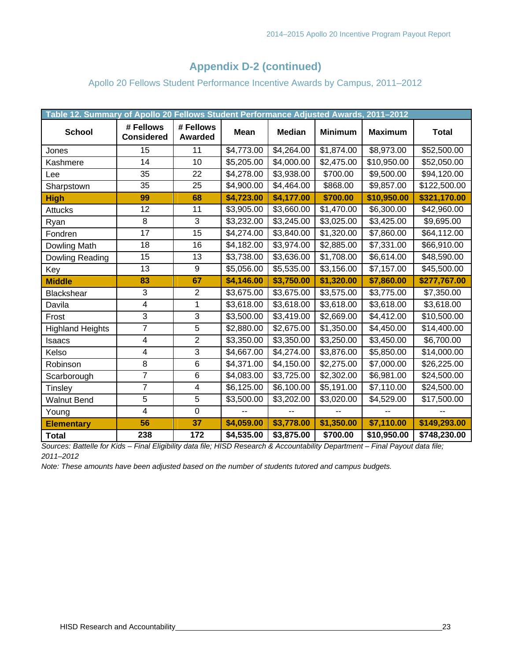### Apollo 20 Fellows Student Performance Incentive Awards by Campus, 2011–2012

| Table 12. Summary of Apollo 20 Fellows Student Performance Adjusted Awards, 2011–2012 |                                |                             |                        |                        |                |                        |              |  |
|---------------------------------------------------------------------------------------|--------------------------------|-----------------------------|------------------------|------------------------|----------------|------------------------|--------------|--|
| <b>School</b>                                                                         | # Fellows<br><b>Considered</b> | # Fellows<br><b>Awarded</b> | <b>Mean</b>            | <b>Median</b>          | <b>Minimum</b> | <b>Maximum</b>         | <b>Total</b> |  |
| Jones                                                                                 | 15                             | 11                          | \$4,773.00             | \$4,264.00             | \$1,874.00     | \$8,973.00             | \$52,500.00  |  |
| Kashmere                                                                              | 14                             | 10                          | \$5,205.00             | \$4,000.00             | \$2,475.00     | \$10,950.00            | \$52,050.00  |  |
| Lee                                                                                   | 35                             | 22                          | \$4,278.00             | $\overline{$3,938.00}$ | \$700.00       | \$9,500.00             | \$94,120.00  |  |
| Sharpstown                                                                            | 35                             | 25                          | \$4,900.00             | \$4,464.00             | \$868.00       | \$9,857.00             | \$122,500.00 |  |
| <b>High</b>                                                                           | 99                             | 68                          | \$4,723.00             | \$4,177.00             | \$700.00       | \$10,950.00            | \$321,170.00 |  |
| <b>Attucks</b>                                                                        | 12                             | 11                          | \$3,905.00             | \$3,660.00             | \$1,470.00     | \$6,300.00             | \$42,960.00  |  |
| Ryan                                                                                  | 8                              | 3                           | \$3,232.00             | \$3,245.00             | \$3,025.00     | \$3,425.00             | \$9,695.00   |  |
| Fondren                                                                               | 17                             | 15                          | \$4,274.00             | $\overline{$3,840.00}$ | \$1,320.00     | $\overline{$7,860.00}$ | \$64,112.00  |  |
| Dowling Math                                                                          | 18                             | 16                          | \$4,182.00             | \$3,974.00             | \$2,885.00     | \$7,331.00             | \$66,910.00  |  |
| Dowling Reading                                                                       | 15                             | 13                          | \$3,738.00             | \$3,636.00             | \$1,708.00     | \$6,614.00             | \$48,590.00  |  |
| Key                                                                                   | 13                             | 9                           | \$5,056.00             | \$5,535.00             | \$3,156.00     | \$7,157.00             | \$45,500.00  |  |
| <b>Middle</b>                                                                         | 83                             | 67                          | \$4,146.00             | \$3,750.00             | \$1,320.00     | \$7,860.00             | \$277,767.00 |  |
| Blackshear                                                                            | 3                              | $\overline{2}$              | \$3,675.00             | \$3,675.00             | \$3,575.00     | \$3,775.00             | \$7,350.00   |  |
| Davila                                                                                | 4                              | $\mathbf 1$                 | \$3,618.00             | \$3,618.00             | \$3,618.00     | \$3,618.00             | \$3,618.00   |  |
| Frost                                                                                 | 3                              | 3                           | $\overline{$3,500.00}$ | \$3,419.00             | \$2,669.00     | \$4,412.00             | \$10,500.00  |  |
| <b>Highland Heights</b>                                                               | $\overline{7}$                 | 5                           | \$2,880.00             | \$2,675.00             | \$1,350.00     | \$4,450.00             | \$14,400.00  |  |
| <b>Isaacs</b>                                                                         | 4                              | $\overline{2}$              | \$3,350.00             | \$3,350.00             | \$3,250.00     | \$3,450.00             | \$6,700.00   |  |
| Kelso                                                                                 | 4                              | 3                           | \$4,667.00             | \$4,274.00             | \$3,876.00     | \$5,850.00             | \$14,000.00  |  |
| Robinson                                                                              | 8                              | 6                           | \$4,371.00             | \$4,150.00             | \$2,275.00     | \$7,000.00             | \$26,225.00  |  |
| Scarborough                                                                           | $\overline{7}$                 | $\overline{6}$              | \$4,083.00             | \$3,725.00             | \$2,302.00     | \$6,981.00             | \$24,500.00  |  |
| Tinsley                                                                               | 7                              | 4                           | \$6,125.00             | \$6,100.00             | \$5,191.00     | \$7,110.00             | \$24,500.00  |  |
| <b>Walnut Bend</b>                                                                    | $\overline{5}$                 | $\overline{5}$              | \$3,500.00             | \$3,202.00             | \$3,020.00     | \$4,529.00             | \$17,500.00  |  |
| Young                                                                                 | 4                              | $\overline{0}$              | $-1$                   |                        |                |                        |              |  |
| <b>Elementary</b>                                                                     | 56                             | 37                          | \$4,059.00             | \$3,778.00             | \$1,350.00     | \$7,110.00             | \$149,293.00 |  |
| <b>Total</b>                                                                          | 238                            | 172                         | \$4,535.00             | \$3,875.00             | \$700.00       | \$10,950.00            | \$748,230.00 |  |

*Sources: Battelle for Kids – Final Eligibility data file; HISD Research & Accountability Department – Final Payout data file; 2011–2012*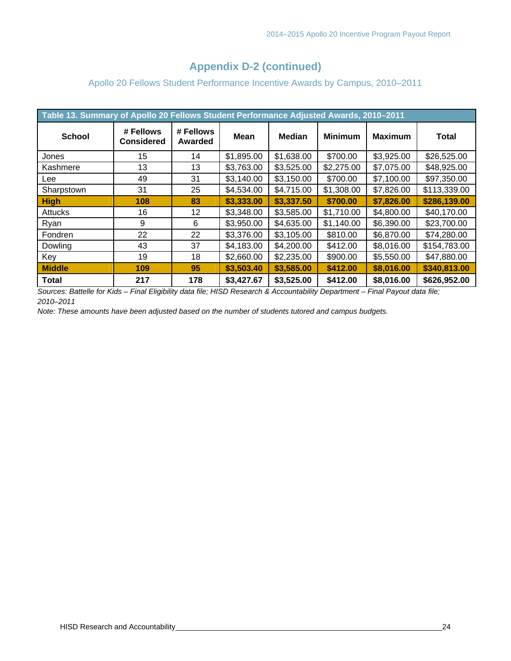### Apollo 20 Fellows Student Performance Incentive Awards by Campus, 2010–2011

| Table 13. Summary of Apollo 20 Fellows Student Performance Adjusted Awards, 2010-2011 |                                |                      |             |               |                |                |              |  |
|---------------------------------------------------------------------------------------|--------------------------------|----------------------|-------------|---------------|----------------|----------------|--------------|--|
| <b>School</b>                                                                         | # Fellows<br><b>Considered</b> | # Fellows<br>Awarded | <b>Mean</b> | <b>Median</b> | <b>Minimum</b> | <b>Maximum</b> | <b>Total</b> |  |
| Jones                                                                                 | 15                             | 14                   | \$1,895.00  | \$1,638.00    | \$700.00       | \$3,925.00     | \$26,525.00  |  |
| Kashmere                                                                              | 13                             | 13                   | \$3,763.00  | \$3,525.00    | \$2,275.00     | \$7,075.00     | \$48,925.00  |  |
| Lee                                                                                   | 49                             | 31                   | \$3,140.00  | \$3,150.00    | \$700.00       | \$7,100.00     | \$97,350.00  |  |
| Sharpstown                                                                            | 31                             | 25                   | \$4,534.00  | \$4,715.00    | \$1,308.00     | \$7,826.00     | \$113,339.00 |  |
| <b>High</b>                                                                           | 108                            | 83                   | \$3,333.00  | \$3,337.50    | \$700.00       | \$7,826.00     | \$286,139.00 |  |
| <b>Attucks</b>                                                                        | 16                             | 12                   | \$3,348.00  | \$3,585.00    | \$1,710.00     | \$4,800.00     | \$40,170.00  |  |
| Ryan                                                                                  | 9                              | 6                    | \$3,950.00  | \$4,635.00    | \$1,140.00     | \$6,390.00     | \$23,700.00  |  |
| Fondren                                                                               | 22                             | 22                   | \$3,376.00  | \$3,105.00    | \$810.00       | \$6,870.00     | \$74,280.00  |  |
| Dowling                                                                               | 43                             | 37                   | \$4,183.00  | \$4,200.00    | \$412.00       | \$8,016.00     | \$154,783.00 |  |
| Key                                                                                   | 19                             | 18                   | \$2,660.00  | \$2,235.00    | \$900.00       | \$5,550.00     | \$47,880.00  |  |
| <b>Middle</b>                                                                         | 109                            | 95                   | \$3,503.40  | \$3,585.00    | \$412.00       | \$8,016.00     | \$340,813.00 |  |
| <b>Total</b>                                                                          | 217                            | 178                  | \$3,427.67  | \$3,525.00    | \$412.00       | \$8,016.00     | \$626,952.00 |  |

*Sources: Battelle for Kids – Final Eligibility data file; HISD Research & Accountability Department – Final Payout data file; 2010–2011*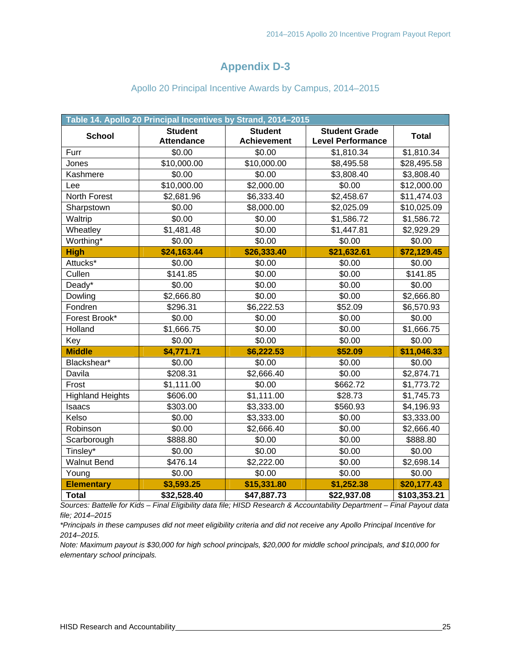### **Appendix D-3**

| Table 14. Apollo 20 Principal Incentives by Strand, 2014-2015 |                                     |                                      |                                                  |              |  |  |  |
|---------------------------------------------------------------|-------------------------------------|--------------------------------------|--------------------------------------------------|--------------|--|--|--|
| <b>School</b>                                                 | <b>Student</b><br><b>Attendance</b> | <b>Student</b><br><b>Achievement</b> | <b>Student Grade</b><br><b>Level Performance</b> | <b>Total</b> |  |  |  |
| Furr                                                          | \$0.00                              | \$0.00                               | \$1,810.34                                       | \$1,810.34   |  |  |  |
| Jones                                                         | \$10,000.00                         | \$10,000.00                          | \$8,495.58                                       | \$28,495.58  |  |  |  |
| Kashmere                                                      | \$0.00                              | \$0.00                               | \$3,808.40                                       | \$3,808.40   |  |  |  |
| Lee                                                           | \$10,000.00                         | \$2,000.00                           | \$0.00                                           | \$12,000.00  |  |  |  |
| North Forest                                                  | \$2,681.96                          | \$6,333.40                           | \$2,458.67                                       | \$11,474.03  |  |  |  |
| Sharpstown                                                    | \$0.00                              | \$8,000.00                           | \$2,025.09                                       | \$10,025.09  |  |  |  |
| Waltrip                                                       | \$0.00                              | \$0.00                               | \$1,586.72                                       | \$1,586.72   |  |  |  |
| Wheatley                                                      | \$1,481.48                          | \$0.00                               | \$1,447.81                                       | \$2,929.29   |  |  |  |
| Worthing*                                                     | \$0.00                              | \$0.00                               | \$0.00                                           | \$0.00       |  |  |  |
| <b>High</b>                                                   | \$24,163.44                         | \$26,333.40                          | \$21,632.61                                      | \$72,129.45  |  |  |  |
| Attucks*                                                      | \$0.00                              | \$0.00                               | \$0.00                                           | \$0.00       |  |  |  |
| Cullen                                                        | \$141.85                            | \$0.00                               | \$0.00                                           | \$141.85     |  |  |  |
| Deady*                                                        | \$0.00                              | \$0.00                               | \$0.00                                           | \$0.00       |  |  |  |
| Dowling                                                       | \$2,666.80                          | \$0.00                               | \$0.00                                           | \$2,666.80   |  |  |  |
| Fondren                                                       | \$296.31                            | \$6,222.53                           | \$52.09                                          | \$6,570.93   |  |  |  |
| Forest Brook*                                                 | \$0.00                              | \$0.00                               | \$0.00                                           | \$0.00       |  |  |  |
| Holland                                                       | \$1,666.75                          | \$0.00                               | \$0.00                                           | \$1,666.75   |  |  |  |
| Key                                                           | \$0.00                              | \$0.00                               | \$0.00                                           | \$0.00       |  |  |  |
| <b>Middle</b>                                                 | \$4,771.71                          | \$6,222.53                           | \$52.09                                          | \$11,046.33  |  |  |  |
| Blackshear*                                                   | \$0.00                              | \$0.00                               | \$0.00                                           | \$0.00       |  |  |  |
| Davila                                                        | \$208.31                            | \$2,666.40                           | \$0.00                                           | \$2,874.71   |  |  |  |
| Frost                                                         | \$1,111.00                          | \$0.00                               | \$662.72                                         | \$1,773.72   |  |  |  |
| <b>Highland Heights</b>                                       | \$606.00                            | \$1,111.00                           | \$28.73                                          | \$1,745.73   |  |  |  |
| Isaacs                                                        | \$303.00                            | \$3,333.00                           | \$560.93                                         | \$4,196.93   |  |  |  |
| Kelso                                                         | \$0.00                              | \$3,333.00                           | \$0.00                                           | \$3,333.00   |  |  |  |
| Robinson                                                      | \$0.00                              | \$2,666.40                           | \$0.00                                           | \$2,666.40   |  |  |  |
| Scarborough                                                   | \$888.80                            | \$0.00                               | \$0.00                                           | \$888.80     |  |  |  |
| Tinsley*                                                      | \$0.00                              | \$0.00                               | \$0.00                                           | \$0.00       |  |  |  |
| <b>Walnut Bend</b>                                            | \$476.14                            | \$2,222.00                           | \$0.00                                           | \$2,698.14   |  |  |  |
| Young                                                         | \$0.00                              | \$0.00                               | \$0.00                                           | \$0.00       |  |  |  |
| <b>Elementary</b>                                             | \$3,593.25                          | \$15,331.80                          | \$1,252.38                                       | \$20,177.43  |  |  |  |
| <b>Total</b>                                                  | \$32,528.40                         | \$47,887.73                          | \$22,937.08                                      | \$103,353.21 |  |  |  |

#### Apollo 20 Principal Incentive Awards by Campus, 2014–2015

*Sources: Battelle for Kids – Final Eligibility data file; HISD Research & Accountability Department – Final Payout data file; 2014–2015* 

*\*Principals in these campuses did not meet eligibility criteria and did not receive any Apollo Principal Incentive for 2014–2015.* 

*Note: Maximum payout is \$30,000 for high school principals, \$20,000 for middle school principals, and \$10,000 for elementary school principals.*